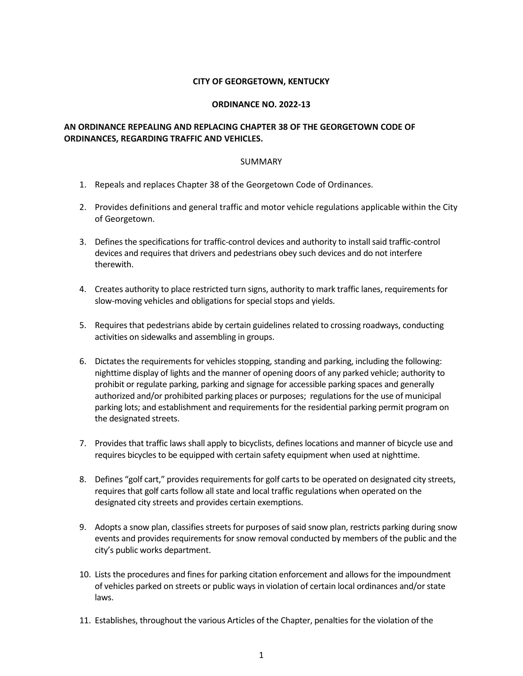# **CITY OF GEORGETOWN, KENTUCKY**

#### **ORDINANCE NO. 2022-13**

# **AN ORDINANCE REPEALING AND REPLACING CHAPTER 38 OF THE GEORGETOWN CODE OF ORDINANCES, REGARDING TRAFFIC AND VEHICLES.**

#### SUMMARY

- 1. Repeals and replaces Chapter 38 of the Georgetown Code of Ordinances.
- 2. Provides definitions and general traffic and motor vehicle regulations applicable within the City of Georgetown.
- 3. Defines the specifications for traffic-control devices and authority to install said traffic-control devices and requires that drivers and pedestrians obey such devices and do not interfere therewith.
- 4. Creates authority to place restricted turn signs, authority to mark traffic lanes, requirements for slow-moving vehicles and obligations for special stops and yields.
- 5. Requires that pedestrians abide by certain guidelines related to crossing roadways, conducting activities on sidewalks and assembling in groups.
- 6. Dictates the requirements for vehicles stopping, standing and parking, including the following: nighttime display of lights and the manner of opening doors of any parked vehicle; authority to prohibit or regulate parking, parking and signage for accessible parking spaces and generally authorized and/or prohibited parking places or purposes; regulations for the use of municipal parking lots; and establishment and requirements for the residential parking permit program on the designated streets.
- 7. Provides that traffic laws shall apply to bicyclists, defines locations and manner of bicycle use and requires bicycles to be equipped with certain safety equipment when used at nighttime.
- 8. Defines "golf cart," provides requirements for golf carts to be operated on designated city streets, requires that golf carts follow all state and local traffic regulations when operated on the designated city streets and provides certain exemptions.
- 9. Adopts a snow plan, classifies streets for purposes of said snow plan, restricts parking during snow events and provides requirements for snow removal conducted by members of the public and the city's public works department.
- 10. Lists the procedures and fines for parking citation enforcement and allows for the impoundment of vehicles parked on streets or public ways in violation of certain local ordinances and/or state laws.
- 11. Establishes, throughout the various Articles of the Chapter, penalties for the violation of the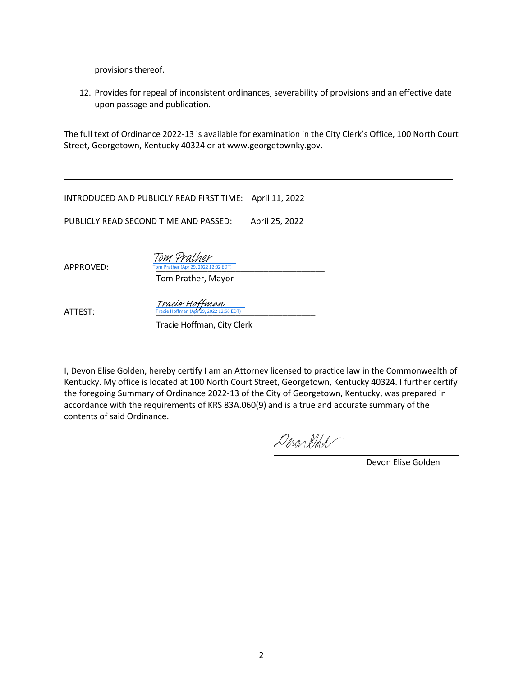provisions thereof.

12. Provides for repeal of inconsistent ordinances, severability of provisions and an effective date upon passage and publication.

The full text of Ordinance 2022-13 is available for examination in the City Clerk's Office, 100 North Court Street, Georgetown, Kentucky 40324 or at www.georgetownky.gov.

INTRODUCED AND PUBLICLY READ FIRST TIME: April 11, 2022

PUBLICLY READ SECOND TIME AND PASSED: April 25, 2022

APPROVED: Tom Prather (Apr 29, 2022 12:02 EDT) Tom Prather

Tom Prather, Mayor

ATTEST: Tracie Hoffman (Apr 29, 2022 12:58 EDT) Tracie Hoffman

Tracie Hoffman, City Clerk

I, Devon Elise Golden, hereby certify I am an Attorney licensed to practice law in the Commonwealth of Kentucky. My office is located at 100 North Court Street, Georgetown, Kentucky 40324. I further certify the foregoing Summary of Ordinance 2022-13 of the City of Georgetown, Kentucky, was prepared in accordance with the requirements of KRS 83A.060(9) and is a true and accurate summary of the contents of said Ordinance.

DeronGold

Devon Elise Golden

\_\_\_\_\_\_\_\_\_\_\_\_\_\_\_\_\_\_\_\_\_\_\_\_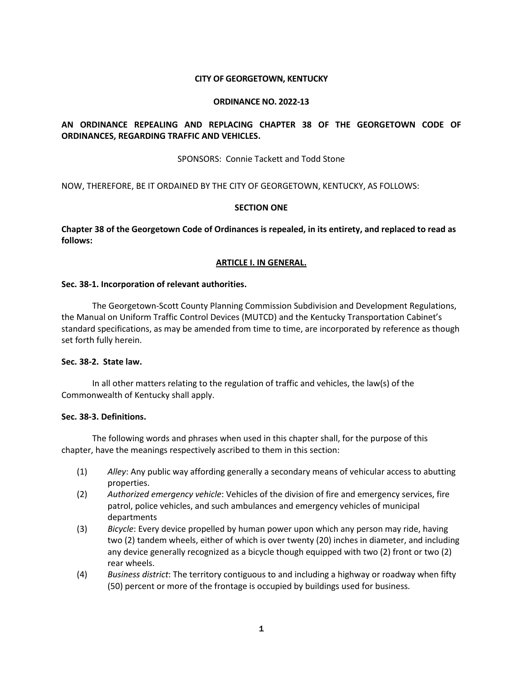#### **CITY OF GEORGETOWN, KENTUCKY**

#### **ORDINANCE NO. 2022-13**

# **AN ORDINANCE REPEALING AND REPLACING CHAPTER 38 OF THE GEORGETOWN CODE OF ORDINANCES, REGARDING TRAFFIC AND VEHICLES.**

SPONSORS: Connie Tackett and Todd Stone

NOW, THEREFORE, BE IT ORDAINED BY THE CITY OF GEORGETOWN, KENTUCKY, AS FOLLOWS:

#### **SECTION ONE**

**Chapter 38 of the Georgetown Code of Ordinances is repealed, in its entirety, and replaced to read as follows:**

# **ARTICLE I. IN GENERAL.**

#### **Sec. 38-1. Incorporation of relevant authorities.**

The Georgetown-Scott County Planning Commission Subdivision and Development Regulations, the Manual on Uniform Traffic Control Devices (MUTCD) and the Kentucky Transportation Cabinet's standard specifications, as may be amended from time to time, are incorporated by reference as though set forth fully herein.

# **Sec. 38-2. State law.**

In all other matters relating to the regulation of traffic and vehicles, the law(s) of the Commonwealth of Kentucky shall apply.

#### **Sec. 38-3. Definitions.**

The following words and phrases when used in this chapter shall, for the purpose of this chapter, have the meanings respectively ascribed to them in this section:

- (1) *Alley*: Any public way affording generally a secondary means of vehicular access to abutting properties.
- (2) *Authorized emergency vehicle*: Vehicles of the division of fire and emergency services, fire patrol, police vehicles, and such ambulances and emergency vehicles of municipal departments
- (3) *Bicycle*: Every device propelled by human power upon which any person may ride, having two (2) tandem wheels, either of which is over twenty (20) inches in diameter, and including any device generally recognized as a bicycle though equipped with two (2) front or two (2) rear wheels.
- (4) *Business district*: The territory contiguous to and including a highway or roadway when fifty (50) percent or more of the frontage is occupied by buildings used for business.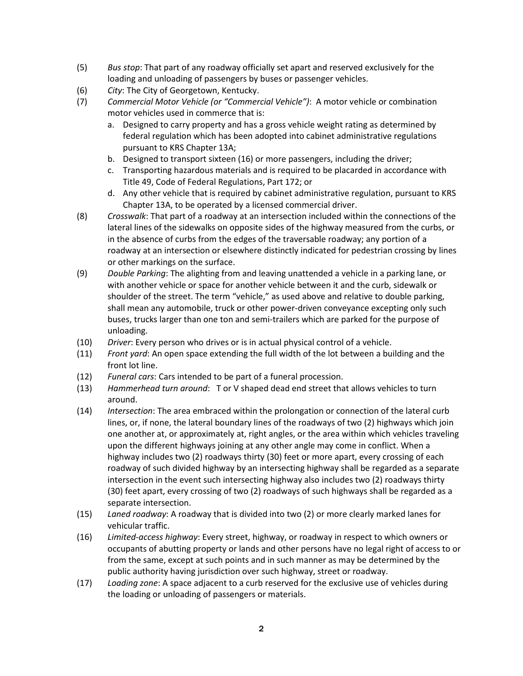- (5) *Bus stop*: That part of any roadway officially set apart and reserved exclusively for the loading and unloading of passengers by buses or passenger vehicles.
- (6) *City*: The City of Georgetown, Kentucky.
- (7) *Commercial Motor Vehicle (or "Commercial Vehicle")*: A motor vehicle or combination motor vehicles used in commerce that is:
	- a. Designed to carry property and has a gross vehicle weight rating as determined by federal regulation which has been adopted into cabinet administrative regulations pursuant to KRS Chapter 13A;
	- b. Designed to transport sixteen (16) or more passengers, including the driver;
	- c. Transporting hazardous materials and is required to be placarded in accordance with Title 49, Code of Federal Regulations, Part 172; or
	- d. Any other vehicle that is required by cabinet administrative regulation, pursuant to KRS Chapter 13A, to be operated by a licensed commercial driver.
- (8) *Crosswalk*: That part of a roadway at an intersection included within the connections of the lateral lines of the sidewalks on opposite sides of the highway measured from the curbs, or in the absence of curbs from the edges of the traversable roadway; any portion of a roadway at an intersection or elsewhere distinctly indicated for pedestrian crossing by lines or other markings on the surface.
- (9) *Double Parking*: The alighting from and leaving unattended a vehicle in a parking lane, or with another vehicle or space for another vehicle between it and the curb, sidewalk or shoulder of the street. The term "vehicle," as used above and relative to double parking, shall mean any automobile, truck or other power-driven conveyance excepting only such buses, trucks larger than one ton and semi-trailers which are parked for the purpose of unloading.
- (10) *Driver*: Every person who drives or is in actual physical control of a vehicle.
- (11) *Front yard*: An open space extending the full width of the lot between a building and the front lot line.
- (12) *Funeral cars*: Cars intended to be part of a funeral procession.
- (13) *Hammerhead turn around*: T or V shaped dead end street that allows vehicles to turn around.
- (14) *Intersection*: The area embraced within the prolongation or connection of the lateral curb lines, or, if none, the lateral boundary lines of the roadways of two (2) highways which join one another at, or approximately at, right angles, or the area within which vehicles traveling upon the different highways joining at any other angle may come in conflict. When a highway includes two (2) roadways thirty (30) feet or more apart, every crossing of each roadway of such divided highway by an intersecting highway shall be regarded as a separate intersection in the event such intersecting highway also includes two (2) roadways thirty (30) feet apart, every crossing of two (2) roadways of such highways shall be regarded as a separate intersection.
- (15) *Laned roadway*: A roadway that is divided into two (2) or more clearly marked lanes for vehicular traffic.
- (16) *Limited-access highway*: Every street, highway, or roadway in respect to which owners or occupants of abutting property or lands and other persons have no legal right of access to or from the same, except at such points and in such manner as may be determined by the public authority having jurisdiction over such highway, street or roadway.
- (17) *Loading zone*: A space adjacent to a curb reserved for the exclusive use of vehicles during the loading or unloading of passengers or materials.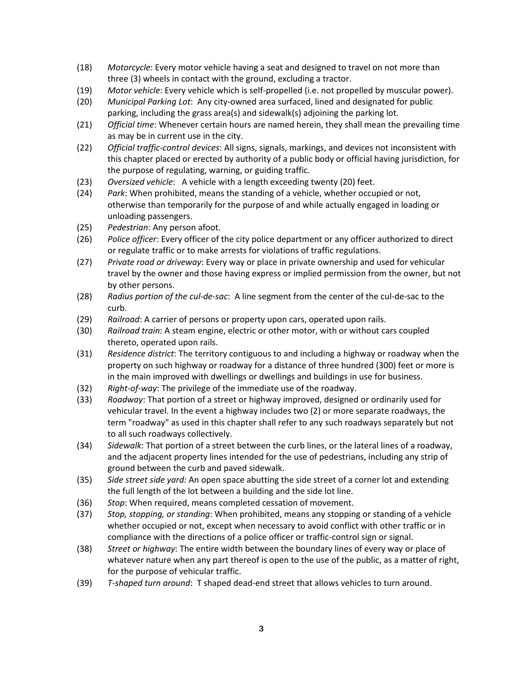- (18) *Motorcycle*: Every motor vehicle having a seat and designed to travel on not more than three (3) wheels in contact with the ground, excluding a tractor.
- (19) *Motor vehicle*: Every vehicle which is self-propelled (i.e. not propelled by muscular power).
- (20) *Municipal Parking Lot*: Any city-owned area surfaced, lined and designated for public parking, including the grass area(s) and sidewalk(s) adjoining the parking lot.
- (21) *Official time*: Whenever certain hours are named herein, they shall mean the prevailing time as may be in current use in the city.
- (22) *Official traffic-control devices*: All signs, signals, markings, and devices not inconsistent with this chapter placed or erected by authority of a public body or official having jurisdiction, for the purpose of regulating, warning, or guiding traffic.
- (23) *Oversized vehicle*: A vehicle with a length exceeding twenty (20) feet.
- (24) *Park*: When prohibited, means the standing of a vehicle, whether occupied or not, otherwise than temporarily for the purpose of and while actually engaged in loading or unloading passengers.
- (25) *Pedestrian*: Any person afoot.
- (26) *Police officer*: Every officer of the city police department or any officer authorized to direct or regulate traffic or to make arrests for violations of traffic regulations.
- (27) *Private road or driveway*: Every way or place in private ownership and used for vehicular travel by the owner and those having express or implied permission from the owner, but not by other persons.
- (28) *Radius portion of the cul-de-sac*: A line segment from the center of the cul-de-sac to the curb.
- (29) *Railroad*: A carrier of persons or property upon cars, operated upon rails.
- (30) *Railroad train*: A steam engine, electric or other motor, with or without cars coupled thereto, operated upon rails.
- (31) *Residence district*: The territory contiguous to and including a highway or roadway when the property on such highway or roadway for a distance of three hundred (300) feet or more is in the main improved with dwellings or dwellings and buildings in use for business.
- (32) *Right-of-way*: The privilege of the immediate use of the roadway.
- (33) *Roadway*: That portion of a street or highway improved, designed or ordinarily used for vehicular travel. In the event a highway includes two (2) or more separate roadways, the term "roadway" as used in this chapter shall refer to any such roadways separately but not to all such roadways collectively.
- (34) *Sidewalk*: That portion of a street between the curb lines, or the lateral lines of a roadway, and the adjacent property lines intended for the use of pedestrians, including any strip of ground between the curb and paved sidewalk.
- (35) *Side street side yard:* An open space abutting the side street of a corner lot and extending the full length of the lot between a building and the side lot line.
- (36) *Stop*: When required, means completed cessation of movement.
- (37) *Stop, stopping, or standing*: When prohibited, means any stopping or standing of a vehicle whether occupied or not, except when necessary to avoid conflict with other traffic or in compliance with the directions of a police officer or traffic-control sign or signal.
- (38) *Street or highway*: The entire width between the boundary lines of every way or place of whatever nature when any part thereof is open to the use of the public, as a matter of right, for the purpose of vehicular traffic.
- (39) *T-shaped turn around*: T shaped dead-end street that allows vehicles to turn around.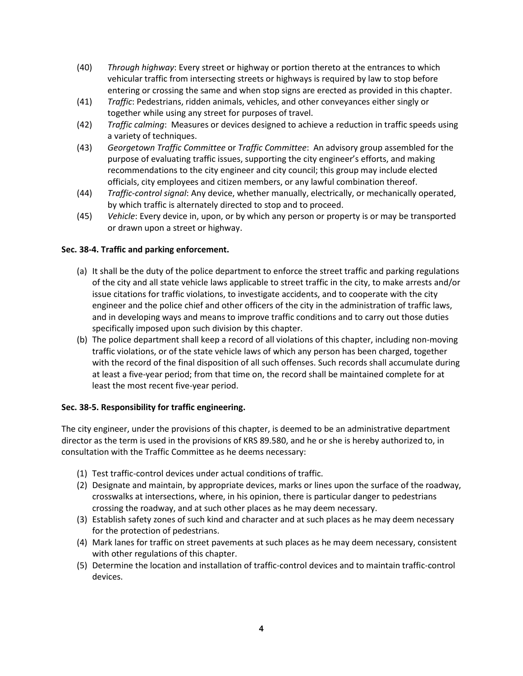- (40) *Through highway*: Every street or highway or portion thereto at the entrances to which vehicular traffic from intersecting streets or highways is required by law to stop before entering or crossing the same and when stop signs are erected as provided in this chapter.
- (41) *Traffic*: Pedestrians, ridden animals, vehicles, and other conveyances either singly or together while using any street for purposes of travel.
- (42) *Traffic calming*: Measures or devices designed to achieve a reduction in traffic speeds using a variety of techniques.
- (43) *Georgetown Traffic Committee* or *Traffic Committee*: An advisory group assembled for the purpose of evaluating traffic issues, supporting the city engineer's efforts, and making recommendations to the city engineer and city council; this group may include elected officials, city employees and citizen members, or any lawful combination thereof.
- (44) *Traffic-control signal*: Any device, whether manually, electrically, or mechanically operated, by which traffic is alternately directed to stop and to proceed.
- (45) *Vehicle*: Every device in, upon, or by which any person or property is or may be transported or drawn upon a street or highway.

# **Sec. 38-4. Traffic and parking enforcement.**

- (a) It shall be the duty of the police department to enforce the street traffic and parking regulations of the city and all state vehicle laws applicable to street traffic in the city, to make arrests and/or issue citations for traffic violations, to investigate accidents, and to cooperate with the city engineer and the police chief and other officers of the city in the administration of traffic laws, and in developing ways and means to improve traffic conditions and to carry out those duties specifically imposed upon such division by this chapter.
- (b) The police department shall keep a record of all violations of this chapter, including non-moving traffic violations, or of the state vehicle laws of which any person has been charged, together with the record of the final disposition of all such offenses. Such records shall accumulate during at least a five-year period; from that time on, the record shall be maintained complete for at least the most recent five-year period.

# **Sec. 38-5. Responsibility for traffic engineering.**

The city engineer, under the provisions of this chapter, is deemed to be an administrative department director as the term is used in the provisions of KRS 89.580, and he or she is hereby authorized to, in consultation with the Traffic Committee as he deems necessary:

- (1) Test traffic-control devices under actual conditions of traffic.
- (2) Designate and maintain, by appropriate devices, marks or lines upon the surface of the roadway, crosswalks at intersections, where, in his opinion, there is particular danger to pedestrians crossing the roadway, and at such other places as he may deem necessary.
- (3) Establish safety zones of such kind and character and at such places as he may deem necessary for the protection of pedestrians.
- (4) Mark lanes for traffic on street pavements at such places as he may deem necessary, consistent with other regulations of this chapter.
- (5) Determine the location and installation of traffic-control devices and to maintain traffic-control devices.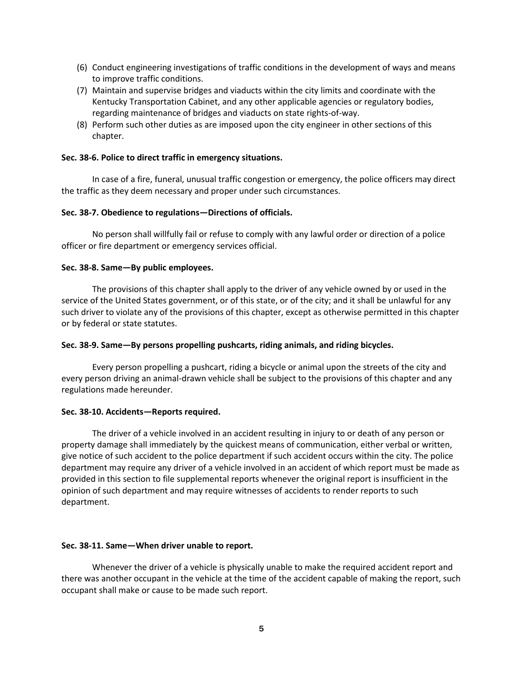- (6) Conduct engineering investigations of traffic conditions in the development of ways and means to improve traffic conditions.
- (7) Maintain and supervise bridges and viaducts within the city limits and coordinate with the Kentucky Transportation Cabinet, and any other applicable agencies or regulatory bodies, regarding maintenance of bridges and viaducts on state rights-of-way.
- (8) Perform such other duties as are imposed upon the city engineer in other sections of this chapter.

#### **Sec. 38-6. Police to direct traffic in emergency situations.**

In case of a fire, funeral, unusual traffic congestion or emergency, the police officers may direct the traffic as they deem necessary and proper under such circumstances.

#### **Sec. 38-7. Obedience to regulations—Directions of officials.**

No person shall willfully fail or refuse to comply with any lawful order or direction of a police officer or fire department or emergency services official.

#### **Sec. 38-8. Same—By public employees.**

The provisions of this chapter shall apply to the driver of any vehicle owned by or used in the service of the United States government, or of this state, or of the city; and it shall be unlawful for any such driver to violate any of the provisions of this chapter, except as otherwise permitted in this chapter or by federal or state statutes.

#### **Sec. 38-9. Same—By persons propelling pushcarts, riding animals, and riding bicycles.**

Every person propelling a pushcart, riding a bicycle or animal upon the streets of the city and every person driving an animal-drawn vehicle shall be subject to the provisions of this chapter and any regulations made hereunder.

#### **Sec. 38-10. Accidents—Reports required.**

The driver of a vehicle involved in an accident resulting in injury to or death of any person or property damage shall immediately by the quickest means of communication, either verbal or written, give notice of such accident to the police department if such accident occurs within the city. The police department may require any driver of a vehicle involved in an accident of which report must be made as provided in this section to file supplemental reports whenever the original report is insufficient in the opinion of such department and may require witnesses of accidents to render reports to such department.

#### **Sec. 38-11. Same—When driver unable to report.**

Whenever the driver of a vehicle is physically unable to make the required accident report and there was another occupant in the vehicle at the time of the accident capable of making the report, such occupant shall make or cause to be made such report.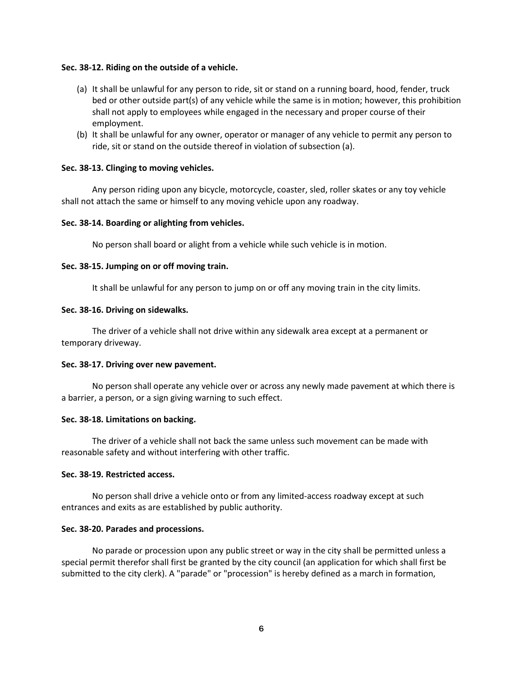#### **Sec. 38-12. Riding on the outside of a vehicle.**

- (a) It shall be unlawful for any person to ride, sit or stand on a running board, hood, fender, truck bed or other outside part(s) of any vehicle while the same is in motion; however, this prohibition shall not apply to employees while engaged in the necessary and proper course of their employment.
- (b) It shall be unlawful for any owner, operator or manager of any vehicle to permit any person to ride, sit or stand on the outside thereof in violation of subsection (a).

#### **Sec. 38-13. Clinging to moving vehicles.**

Any person riding upon any bicycle, motorcycle, coaster, sled, roller skates or any toy vehicle shall not attach the same or himself to any moving vehicle upon any roadway.

#### **Sec. 38-14. Boarding or alighting from vehicles.**

No person shall board or alight from a vehicle while such vehicle is in motion.

#### **Sec. 38-15. Jumping on or off moving train.**

It shall be unlawful for any person to jump on or off any moving train in the city limits.

#### **Sec. 38-16. Driving on sidewalks.**

The driver of a vehicle shall not drive within any sidewalk area except at a permanent or temporary driveway.

#### **Sec. 38-17. Driving over new pavement.**

No person shall operate any vehicle over or across any newly made pavement at which there is a barrier, a person, or a sign giving warning to such effect.

#### **Sec. 38-18. Limitations on backing.**

The driver of a vehicle shall not back the same unless such movement can be made with reasonable safety and without interfering with other traffic.

#### **Sec. 38-19. Restricted access.**

No person shall drive a vehicle onto or from any limited-access roadway except at such entrances and exits as are established by public authority.

#### **Sec. 38-20. Parades and processions.**

No parade or procession upon any public street or way in the city shall be permitted unless a special permit therefor shall first be granted by the city council (an application for which shall first be submitted to the city clerk). A "parade" or "procession" is hereby defined as a march in formation,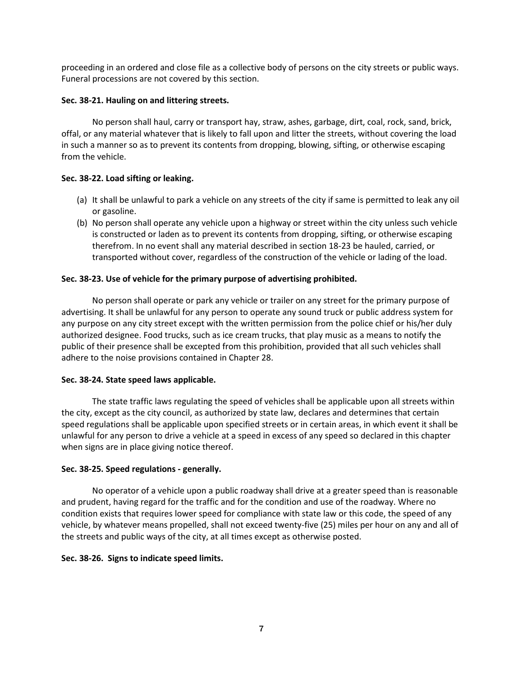proceeding in an ordered and close file as a collective body of persons on the city streets or public ways. Funeral processions are not covered by this section.

# **Sec. 38-21. Hauling on and littering streets.**

No person shall haul, carry or transport hay, straw, ashes, garbage, dirt, coal, rock, sand, brick, offal, or any material whatever that is likely to fall upon and litter the streets, without covering the load in such a manner so as to prevent its contents from dropping, blowing, sifting, or otherwise escaping from the vehicle.

# **Sec. 38-22. Load sifting or leaking.**

- (a) It shall be unlawful to park a vehicle on any streets of the city if same is permitted to leak any oil or gasoline.
- (b) No person shall operate any vehicle upon a highway or street within the city unless such vehicle is constructed or laden as to prevent its contents from dropping, sifting, or otherwise escaping therefrom. In no event shall any material described in section 18-23 be hauled, carried, or transported without cover, regardless of the construction of the vehicle or lading of the load.

# **Sec. 38-23. Use of vehicle for the primary purpose of advertising prohibited.**

No person shall operate or park any vehicle or trailer on any street for the primary purpose of advertising. It shall be unlawful for any person to operate any sound truck or public address system for any purpose on any city street except with the written permission from the police chief or his/her duly authorized designee. Food trucks, such as ice cream trucks, that play music as a means to notify the public of their presence shall be excepted from this prohibition, provided that all such vehicles shall adhere to the noise provisions contained in Chapter 28.

# **Sec. 38-24. State speed laws applicable.**

The state traffic laws regulating the speed of vehicles shall be applicable upon all streets within the city, except as the city council, as authorized by state law, declares and determines that certain speed regulations shall be applicable upon specified streets or in certain areas, in which event it shall be unlawful for any person to drive a vehicle at a speed in excess of any speed so declared in this chapter when signs are in place giving notice thereof.

#### **Sec. 38-25. Speed regulations - generally.**

No operator of a vehicle upon a public roadway shall drive at a greater speed than is reasonable and prudent, having regard for the traffic and for the condition and use of the roadway. Where no condition exists that requires lower speed for compliance with state law or this code, the speed of any vehicle, by whatever means propelled, shall not exceed twenty-five (25) miles per hour on any and all of the streets and public ways of the city, at all times except as otherwise posted.

#### **Sec. 38-26. Signs to indicate speed limits.**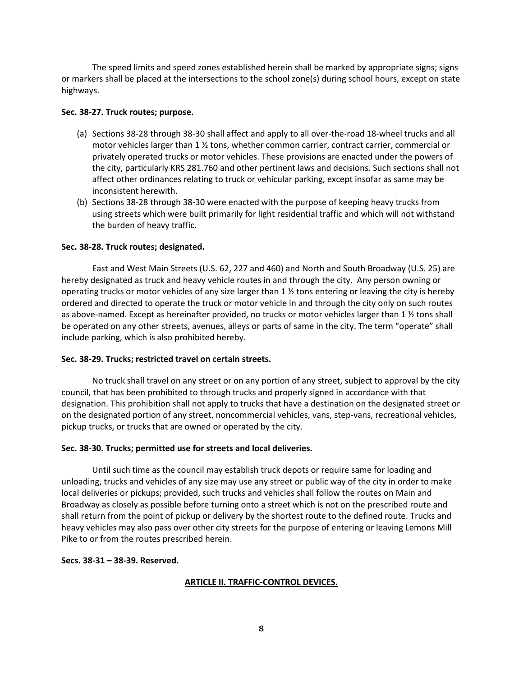The speed limits and speed zones established herein shall be marked by appropriate signs; signs or markers shall be placed at the intersections to the school zone(s) during school hours, except on state highways.

# **Sec. 38-27. Truck routes; purpose.**

- (a) Sections 38-28 through 38-30 shall affect and apply to all over-the-road 18-wheel trucks and all motor vehicles larger than 1  $\frac{1}{2}$  tons, whether common carrier, contract carrier, commercial or privately operated trucks or motor vehicles. These provisions are enacted under the powers of the city, particularly KRS 281.760 and other pertinent laws and decisions. Such sections shall not affect other ordinances relating to truck or vehicular parking, except insofar as same may be inconsistent herewith.
- (b) Sections 38-28 through 38-30 were enacted with the purpose of keeping heavy trucks from using streets which were built primarily for light residential traffic and which will not withstand the burden of heavy traffic.

# **Sec. 38-28. Truck routes; designated.**

East and West Main Streets (U.S. 62, 227 and 460) and North and South Broadway (U.S. 25) are hereby designated as truck and heavy vehicle routes in and through the city. Any person owning or operating trucks or motor vehicles of any size larger than 1 ½ tons entering or leaving the city is hereby ordered and directed to operate the truck or motor vehicle in and through the city only on such routes as above-named. Except as hereinafter provided, no trucks or motor vehicles larger than 1 ½ tons shall be operated on any other streets, avenues, alleys or parts of same in the city. The term "operate" shall include parking, which is also prohibited hereby.

# **Sec. 38-29. Trucks; restricted travel on certain streets.**

No truck shall travel on any street or on any portion of any street, subject to approval by the city council, that has been prohibited to through trucks and properly signed in accordance with that designation. This prohibition shall not apply to trucks that have a destination on the designated street or on the designated portion of any street, noncommercial vehicles, vans, step-vans, recreational vehicles, pickup trucks, or trucks that are owned or operated by the city.

# **Sec. 38-30. Trucks; permitted use for streets and local deliveries.**

Until such time as the council may establish truck depots or require same for loading and unloading, trucks and vehicles of any size may use any street or public way of the city in order to make local deliveries or pickups; provided, such trucks and vehicles shall follow the routes on Main and Broadway as closely as possible before turning onto a street which is not on the prescribed route and shall return from the point of pickup or delivery by the shortest route to the defined route. Trucks and heavy vehicles may also pass over other city streets for the purpose of entering or leaving Lemons Mill Pike to or from the routes prescribed herein.

# **Secs. 38-31 – 38-39. Reserved.**

# **ARTICLE II. TRAFFIC-CONTROL DEVICES.**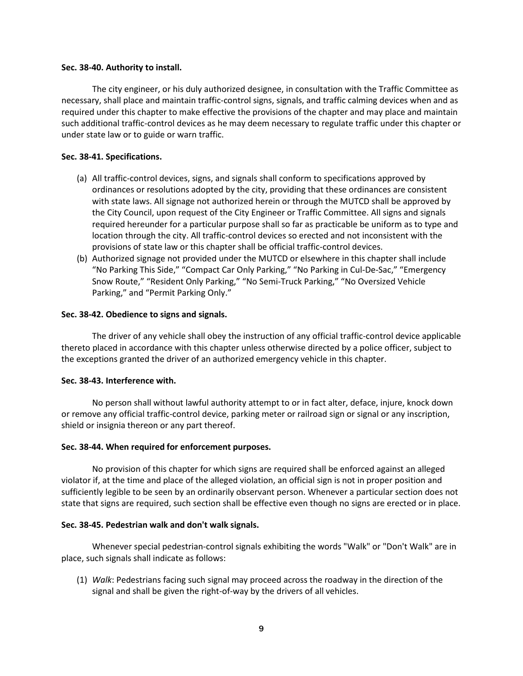#### **Sec. 38-40. Authority to install.**

The city engineer, or his duly authorized designee, in consultation with the Traffic Committee as necessary, shall place and maintain traffic-control signs, signals, and traffic calming devices when and as required under this chapter to make effective the provisions of the chapter and may place and maintain such additional traffic-control devices as he may deem necessary to regulate traffic under this chapter or under state law or to guide or warn traffic.

# **Sec. 38-41. Specifications.**

- (a) All traffic-control devices, signs, and signals shall conform to specifications approved by ordinances or resolutions adopted by the city, providing that these ordinances are consistent with state laws. All signage not authorized herein or through the MUTCD shall be approved by the City Council, upon request of the City Engineer or Traffic Committee. All signs and signals required hereunder for a particular purpose shall so far as practicable be uniform as to type and location through the city. All traffic-control devices so erected and not inconsistent with the provisions of state law or this chapter shall be official traffic-control devices.
- (b) Authorized signage not provided under the MUTCD or elsewhere in this chapter shall include "No Parking This Side," "Compact Car Only Parking," "No Parking in Cul-De-Sac," "Emergency Snow Route," "Resident Only Parking," "No Semi-Truck Parking," "No Oversized Vehicle Parking," and "Permit Parking Only."

# **Sec. 38-42. Obedience to signs and signals.**

The driver of any vehicle shall obey the instruction of any official traffic-control device applicable thereto placed in accordance with this chapter unless otherwise directed by a police officer, subject to the exceptions granted the driver of an authorized emergency vehicle in this chapter.

#### **Sec. 38-43. Interference with.**

No person shall without lawful authority attempt to or in fact alter, deface, injure, knock down or remove any official traffic-control device, parking meter or railroad sign or signal or any inscription, shield or insignia thereon or any part thereof.

#### **Sec. 38-44. When required for enforcement purposes.**

No provision of this chapter for which signs are required shall be enforced against an alleged violator if, at the time and place of the alleged violation, an official sign is not in proper position and sufficiently legible to be seen by an ordinarily observant person. Whenever a particular section does not state that signs are required, such section shall be effective even though no signs are erected or in place.

#### **Sec. 38-45. Pedestrian walk and don't walk signals.**

Whenever special pedestrian-control signals exhibiting the words "Walk" or "Don't Walk" are in place, such signals shall indicate as follows:

(1) *Walk*: Pedestrians facing such signal may proceed across the roadway in the direction of the signal and shall be given the right-of-way by the drivers of all vehicles.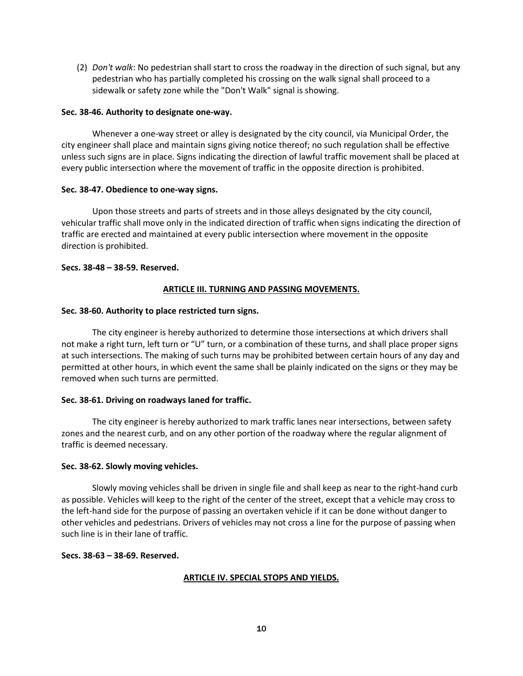(2) *Don't walk*: No pedestrian shall start to cross the roadway in the direction of such signal, but any pedestrian who has partially completed his crossing on the walk signal shall proceed to a sidewalk or safety zone while the "Don't Walk" signal is showing.

# **Sec. 38-46. Authority to designate one-way.**

Whenever a one-way street or alley is designated by the city council, via Municipal Order, the city engineer shall place and maintain signs giving notice thereof; no such regulation shall be effective unless such signs are in place. Signs indicating the direction of lawful traffic movement shall be placed at every public intersection where the movement of traffic in the opposite direction is prohibited.

# **Sec. 38-47. Obedience to one-way signs.**

Upon those streets and parts of streets and in those alleys designated by the city council, vehicular traffic shall move only in the indicated direction of traffic when signs indicating the direction of traffic are erected and maintained at every public intersection where movement in the opposite direction is prohibited.

# **Secs. 38-48 – 38-59. Reserved.**

# **ARTICLE III. TURNING AND PASSING MOVEMENTS.**

# **Sec. 38-60. Authority to place restricted turn signs.**

The city engineer is hereby authorized to determine those intersections at which drivers shall not make a right turn, left turn or "U" turn, or a combination of these turns, and shall place proper signs at such intersections. The making of such turns may be prohibited between certain hours of any day and permitted at other hours, in which event the same shall be plainly indicated on the signs or they may be removed when such turns are permitted.

#### **Sec. 38-61. Driving on roadways laned for traffic.**

The city engineer is hereby authorized to mark traffic lanes near intersections, between safety zones and the nearest curb, and on any other portion of the roadway where the regular alignment of traffic is deemed necessary.

#### **Sec. 38-62. Slowly moving vehicles.**

Slowly moving vehicles shall be driven in single file and shall keep as near to the right-hand curb as possible. Vehicles will keep to the right of the center of the street, except that a vehicle may cross to the left-hand side for the purpose of passing an overtaken vehicle if it can be done without danger to other vehicles and pedestrians. Drivers of vehicles may not cross a line for the purpose of passing when such line is in their lane of traffic.

#### **Secs. 38-63 – 38-69. Reserved.**

# **ARTICLE IV. SPECIAL STOPS AND YIELDS.**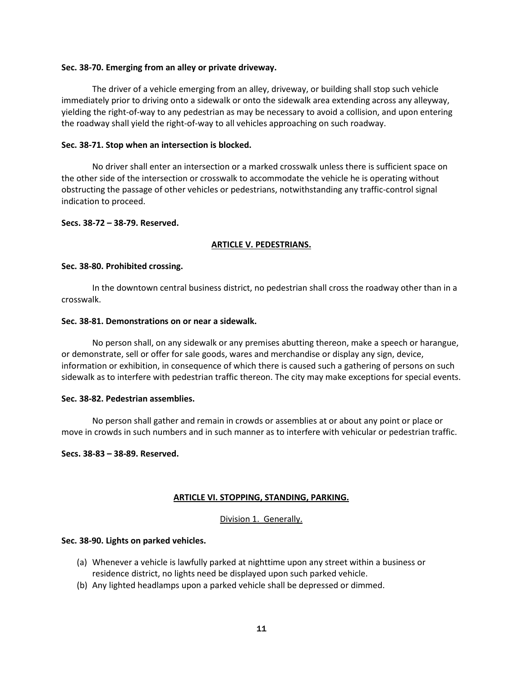#### **Sec. 38-70. Emerging from an alley or private driveway.**

The driver of a vehicle emerging from an alley, driveway, or building shall stop such vehicle immediately prior to driving onto a sidewalk or onto the sidewalk area extending across any alleyway, yielding the right-of-way to any pedestrian as may be necessary to avoid a collision, and upon entering the roadway shall yield the right-of-way to all vehicles approaching on such roadway.

#### **Sec. 38-71. Stop when an intersection is blocked.**

No driver shall enter an intersection or a marked crosswalk unless there is sufficient space on the other side of the intersection or crosswalk to accommodate the vehicle he is operating without obstructing the passage of other vehicles or pedestrians, notwithstanding any traffic-control signal indication to proceed.

# **Secs. 38-72 – 38-79. Reserved.**

# **ARTICLE V. PEDESTRIANS.**

#### **Sec. 38-80. Prohibited crossing.**

In the downtown central business district, no pedestrian shall cross the roadway other than in a crosswalk.

# **Sec. 38-81. Demonstrations on or near a sidewalk.**

No person shall, on any sidewalk or any premises abutting thereon, make a speech or harangue, or demonstrate, sell or offer for sale goods, wares and merchandise or display any sign, device, information or exhibition, in consequence of which there is caused such a gathering of persons on such sidewalk as to interfere with pedestrian traffic thereon. The city may make exceptions for special events.

#### **Sec. 38-82. Pedestrian assemblies.**

No person shall gather and remain in crowds or assemblies at or about any point or place or move in crowds in such numbers and in such manner as to interfere with vehicular or pedestrian traffic.

#### **Secs. 38-83 – 38-89. Reserved.**

# **ARTICLE VI. STOPPING, STANDING, PARKING.**

# Division 1. Generally.

# **Sec. 38-90. Lights on parked vehicles.**

- (a) Whenever a vehicle is lawfully parked at nighttime upon any street within a business or residence district, no lights need be displayed upon such parked vehicle.
- (b) Any lighted headlamps upon a parked vehicle shall be depressed or dimmed.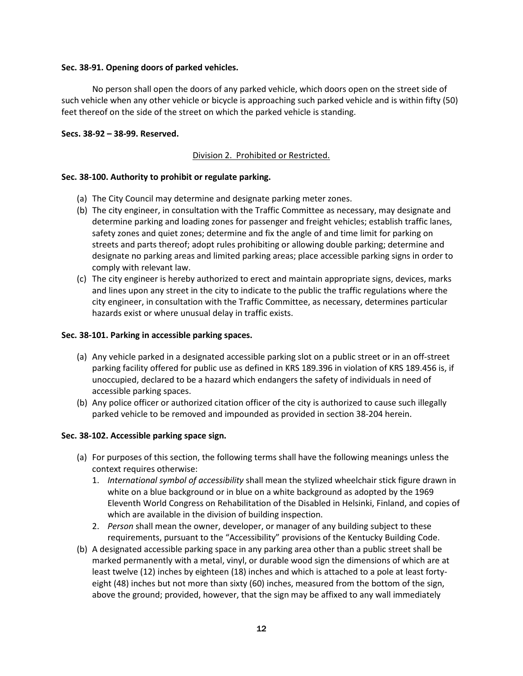# **Sec. 38-91. Opening doors of parked vehicles.**

No person shall open the doors of any parked vehicle, which doors open on the street side of such vehicle when any other vehicle or bicycle is approaching such parked vehicle and is within fifty (50) feet thereof on the side of the street on which the parked vehicle is standing.

# **Secs. 38-92 – 38-99. Reserved.**

# Division 2. Prohibited or Restricted.

# **Sec. 38-100. Authority to prohibit or regulate parking.**

- (a) The City Council may determine and designate parking meter zones.
- (b) The city engineer, in consultation with the Traffic Committee as necessary, may designate and determine parking and loading zones for passenger and freight vehicles; establish traffic lanes, safety zones and quiet zones; determine and fix the angle of and time limit for parking on streets and parts thereof; adopt rules prohibiting or allowing double parking; determine and designate no parking areas and limited parking areas; place accessible parking signs in order to comply with relevant law.
- (c) The city engineer is hereby authorized to erect and maintain appropriate signs, devices, marks and lines upon any street in the city to indicate to the public the traffic regulations where the city engineer, in consultation with the Traffic Committee, as necessary, determines particular hazards exist or where unusual delay in traffic exists.

# **Sec. 38-101. Parking in accessible parking spaces.**

- (a) Any vehicle parked in a designated accessible parking slot on a public street or in an off-street parking facility offered for public use as defined in KRS 189.396 in violation of KRS 189.456 is, if unoccupied, declared to be a hazard which endangers the safety of individuals in need of accessible parking spaces.
- (b) Any police officer or authorized citation officer of the city is authorized to cause such illegally parked vehicle to be removed and impounded as provided in section 38-204 herein.

# **Sec. 38-102. Accessible parking space sign.**

- (a) For purposes of this section, the following terms shall have the following meanings unless the context requires otherwise:
	- 1. *International symbol of accessibility* shall mean the stylized wheelchair stick figure drawn in white on a blue background or in blue on a white background as adopted by the 1969 Eleventh World Congress on Rehabilitation of the Disabled in Helsinki, Finland, and copies of which are available in the division of building inspection.
	- 2. *Person* shall mean the owner, developer, or manager of any building subject to these requirements, pursuant to the "Accessibility" provisions of the Kentucky Building Code.
- (b) A designated accessible parking space in any parking area other than a public street shall be marked permanently with a metal, vinyl, or durable wood sign the dimensions of which are at least twelve (12) inches by eighteen (18) inches and which is attached to a pole at least fortyeight (48) inches but not more than sixty (60) inches, measured from the bottom of the sign, above the ground; provided, however, that the sign may be affixed to any wall immediately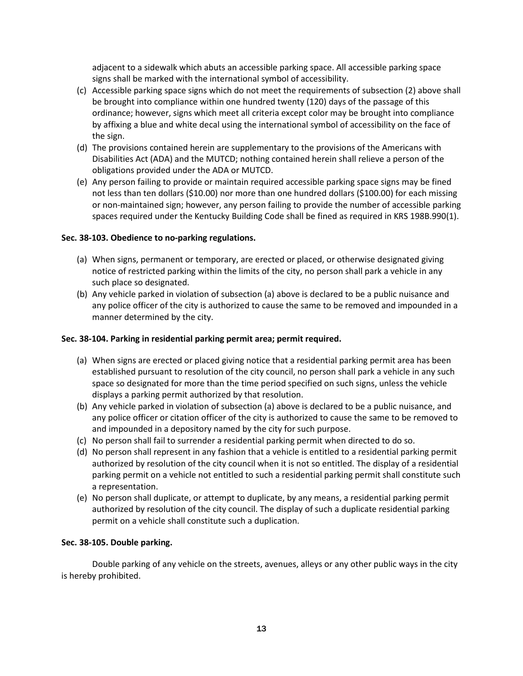adjacent to a sidewalk which abuts an accessible parking space. All accessible parking space signs shall be marked with the international symbol of accessibility.

- (c) Accessible parking space signs which do not meet the requirements of subsection (2) above shall be brought into compliance within one hundred twenty (120) days of the passage of this ordinance; however, signs which meet all criteria except color may be brought into compliance by affixing a blue and white decal using the international symbol of accessibility on the face of the sign.
- (d) The provisions contained herein are supplementary to the provisions of the Americans with Disabilities Act (ADA) and the MUTCD; nothing contained herein shall relieve a person of the obligations provided under the ADA or MUTCD.
- (e) Any person failing to provide or maintain required accessible parking space signs may be fined not less than ten dollars (\$10.00) nor more than one hundred dollars (\$100.00) for each missing or non-maintained sign; however, any person failing to provide the number of accessible parking spaces required under the Kentucky Building Code shall be fined as required in KRS 198B.990(1).

# **Sec. 38-103. Obedience to no-parking regulations.**

- (a) When signs, permanent or temporary, are erected or placed, or otherwise designated giving notice of restricted parking within the limits of the city, no person shall park a vehicle in any such place so designated.
- (b) Any vehicle parked in violation of subsection (a) above is declared to be a public nuisance and any police officer of the city is authorized to cause the same to be removed and impounded in a manner determined by the city.

# **Sec. 38-104. Parking in residential parking permit area; permit required.**

- (a) When signs are erected or placed giving notice that a residential parking permit area has been established pursuant to resolution of the city council, no person shall park a vehicle in any such space so designated for more than the time period specified on such signs, unless the vehicle displays a parking permit authorized by that resolution.
- (b) Any vehicle parked in violation of subsection (a) above is declared to be a public nuisance, and any police officer or citation officer of the city is authorized to cause the same to be removed to and impounded in a depository named by the city for such purpose.
- (c) No person shall fail to surrender a residential parking permit when directed to do so.
- (d) No person shall represent in any fashion that a vehicle is entitled to a residential parking permit authorized by resolution of the city council when it is not so entitled. The display of a residential parking permit on a vehicle not entitled to such a residential parking permit shall constitute such a representation.
- (e) No person shall duplicate, or attempt to duplicate, by any means, a residential parking permit authorized by resolution of the city council. The display of such a duplicate residential parking permit on a vehicle shall constitute such a duplication.

#### **Sec. 38-105. Double parking.**

Double parking of any vehicle on the streets, avenues, alleys or any other public ways in the city is hereby prohibited.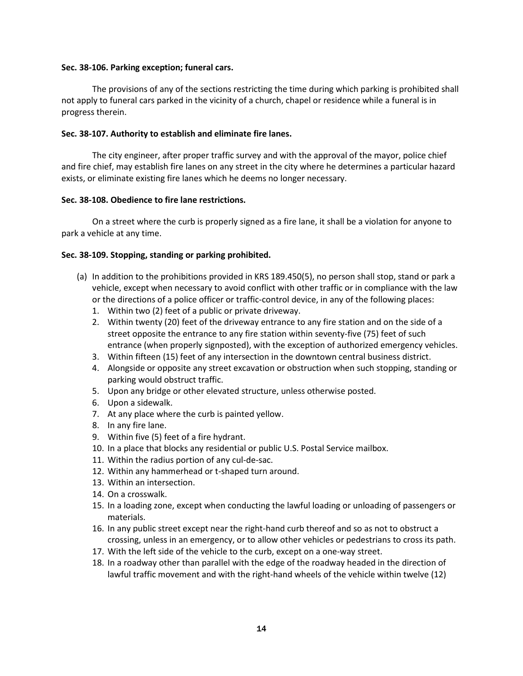# **Sec. 38-106. Parking exception; funeral cars.**

The provisions of any of the sections restricting the time during which parking is prohibited shall not apply to funeral cars parked in the vicinity of a church, chapel or residence while a funeral is in progress therein.

# **Sec. 38-107. Authority to establish and eliminate fire lanes.**

The city engineer, after proper traffic survey and with the approval of the mayor, police chief and fire chief, may establish fire lanes on any street in the city where he determines a particular hazard exists, or eliminate existing fire lanes which he deems no longer necessary.

# **Sec. 38-108. Obedience to fire lane restrictions.**

On a street where the curb is properly signed as a fire lane, it shall be a violation for anyone to park a vehicle at any time.

# **Sec. 38-109. Stopping, standing or parking prohibited.**

- (a) In addition to the prohibitions provided in KRS 189.450(5), no person shall stop, stand or park a vehicle, except when necessary to avoid conflict with other traffic or in compliance with the law or the directions of a police officer or traffic-control device, in any of the following places:
	- 1. Within two (2) feet of a public or private driveway.
	- 2. Within twenty (20) feet of the driveway entrance to any fire station and on the side of a street opposite the entrance to any fire station within seventy-five (75) feet of such entrance (when properly signposted), with the exception of authorized emergency vehicles.
	- 3. Within fifteen (15) feet of any intersection in the downtown central business district.
	- 4. Alongside or opposite any street excavation or obstruction when such stopping, standing or parking would obstruct traffic.
	- 5. Upon any bridge or other elevated structure, unless otherwise posted.
	- 6. Upon a sidewalk.
	- 7. At any place where the curb is painted yellow.
	- 8. In any fire lane.
	- 9. Within five (5) feet of a fire hydrant.
	- 10. In a place that blocks any residential or public U.S. Postal Service mailbox.
	- 11. Within the radius portion of any cul-de-sac.
	- 12. Within any hammerhead or t-shaped turn around.
	- 13. Within an intersection.
	- 14. On a crosswalk.
	- 15. In a loading zone, except when conducting the lawful loading or unloading of passengers or materials.
	- 16. In any public street except near the right-hand curb thereof and so as not to obstruct a crossing, unless in an emergency, or to allow other vehicles or pedestrians to cross its path.
	- 17. With the left side of the vehicle to the curb, except on a one-way street.
	- 18. In a roadway other than parallel with the edge of the roadway headed in the direction of lawful traffic movement and with the right-hand wheels of the vehicle within twelve (12)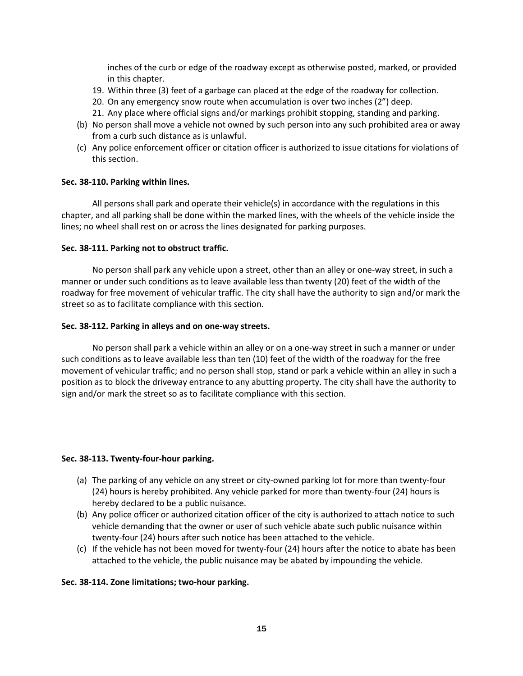inches of the curb or edge of the roadway except as otherwise posted, marked, or provided in this chapter.

- 19. Within three (3) feet of a garbage can placed at the edge of the roadway for collection.
- 20. On any emergency snow route when accumulation is over two inches (2") deep.
- 21. Any place where official signs and/or markings prohibit stopping, standing and parking.
- (b) No person shall move a vehicle not owned by such person into any such prohibited area or away from a curb such distance as is unlawful.
- (c) Any police enforcement officer or citation officer is authorized to issue citations for violations of this section.

# **Sec. 38-110. Parking within lines.**

All persons shall park and operate their vehicle(s) in accordance with the regulations in this chapter, and all parking shall be done within the marked lines, with the wheels of the vehicle inside the lines; no wheel shall rest on or across the lines designated for parking purposes.

# **Sec. 38-111. Parking not to obstruct traffic.**

No person shall park any vehicle upon a street, other than an alley or one-way street, in such a manner or under such conditions as to leave available less than twenty (20) feet of the width of the roadway for free movement of vehicular traffic. The city shall have the authority to sign and/or mark the street so as to facilitate compliance with this section.

# **Sec. 38-112. Parking in alleys and on one-way streets.**

No person shall park a vehicle within an alley or on a one-way street in such a manner or under such conditions as to leave available less than ten (10) feet of the width of the roadway for the free movement of vehicular traffic; and no person shall stop, stand or park a vehicle within an alley in such a position as to block the driveway entrance to any abutting property. The city shall have the authority to sign and/or mark the street so as to facilitate compliance with this section.

#### **Sec. 38-113. Twenty-four-hour parking.**

- (a) The parking of any vehicle on any street or city-owned parking lot for more than twenty-four (24) hours is hereby prohibited. Any vehicle parked for more than twenty-four (24) hours is hereby declared to be a public nuisance.
- (b) Any police officer or authorized citation officer of the city is authorized to attach notice to such vehicle demanding that the owner or user of such vehicle abate such public nuisance within twenty-four (24) hours after such notice has been attached to the vehicle.
- (c) If the vehicle has not been moved for twenty-four (24) hours after the notice to abate has been attached to the vehicle, the public nuisance may be abated by impounding the vehicle.

# **Sec. 38-114. Zone limitations; two-hour parking.**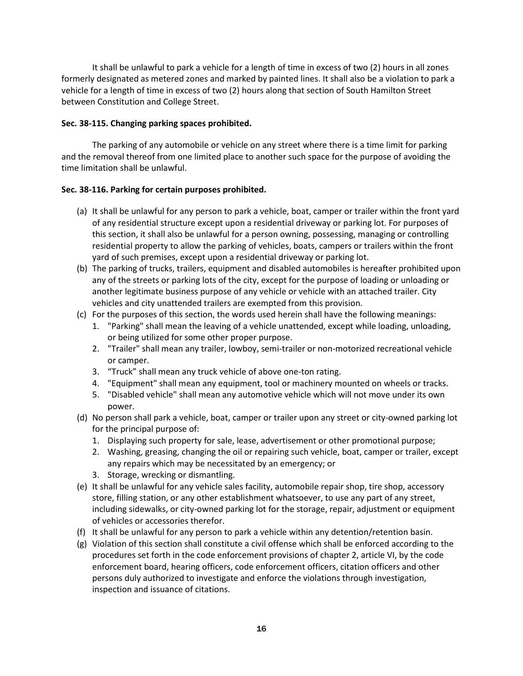It shall be unlawful to park a vehicle for a length of time in excess of two (2) hours in all zones formerly designated as metered zones and marked by painted lines. It shall also be a violation to park a vehicle for a length of time in excess of two (2) hours along that section of South Hamilton Street between Constitution and College Street.

# **Sec. 38-115. Changing parking spaces prohibited.**

The parking of any automobile or vehicle on any street where there is a time limit for parking and the removal thereof from one limited place to another such space for the purpose of avoiding the time limitation shall be unlawful.

# **Sec. 38-116. Parking for certain purposes prohibited.**

- (a) It shall be unlawful for any person to park a vehicle, boat, camper or trailer within the front yard of any residential structure except upon a residential driveway or parking lot. For purposes of this section, it shall also be unlawful for a person owning, possessing, managing or controlling residential property to allow the parking of vehicles, boats, campers or trailers within the front yard of such premises, except upon a residential driveway or parking lot.
- (b) The parking of trucks, trailers, equipment and disabled automobiles is hereafter prohibited upon any of the streets or parking lots of the city, except for the purpose of loading or unloading or another legitimate business purpose of any vehicle or vehicle with an attached trailer. City vehicles and city unattended trailers are exempted from this provision.
- (c) For the purposes of this section, the words used herein shall have the following meanings:
	- 1. "Parking" shall mean the leaving of a vehicle unattended, except while loading, unloading, or being utilized for some other proper purpose.
	- 2. "Trailer" shall mean any trailer, lowboy, semi-trailer or non-motorized recreational vehicle or camper.
	- 3. "Truck" shall mean any truck vehicle of above one-ton rating.
	- 4. "Equipment" shall mean any equipment, tool or machinery mounted on wheels or tracks.
	- 5. "Disabled vehicle" shall mean any automotive vehicle which will not move under its own power.
- (d) No person shall park a vehicle, boat, camper or trailer upon any street or city-owned parking lot for the principal purpose of:
	- 1. Displaying such property for sale, lease, advertisement or other promotional purpose;
	- 2. Washing, greasing, changing the oil or repairing such vehicle, boat, camper or trailer, except any repairs which may be necessitated by an emergency; or
	- 3. Storage, wrecking or dismantling.
- (e) It shall be unlawful for any vehicle sales facility, automobile repair shop, tire shop, accessory store, filling station, or any other establishment whatsoever, to use any part of any street, including sidewalks, or city-owned parking lot for the storage, repair, adjustment or equipment of vehicles or accessories therefor.
- (f) It shall be unlawful for any person to park a vehicle within any detention/retention basin.
- (g) Violation of this section shall constitute a civil offense which shall be enforced according to the procedures set forth in the code enforcement provisions of chapter 2, article VI, by the code enforcement board, hearing officers, code enforcement officers, citation officers and other persons duly authorized to investigate and enforce the violations through investigation, inspection and issuance of citations.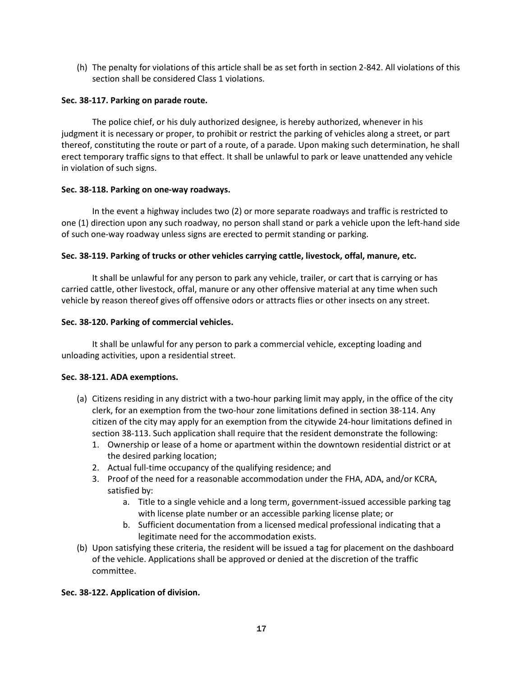(h) The penalty for violations of this article shall be as set forth in section 2-842. All violations of this section shall be considered Class 1 violations.

# **Sec. 38-117. Parking on parade route.**

The police chief, or his duly authorized designee, is hereby authorized, whenever in his judgment it is necessary or proper, to prohibit or restrict the parking of vehicles along a street, or part thereof, constituting the route or part of a route, of a parade. Upon making such determination, he shall erect temporary traffic signs to that effect. It shall be unlawful to park or leave unattended any vehicle in violation of such signs.

# **Sec. 38-118. Parking on one-way roadways.**

In the event a highway includes two (2) or more separate roadways and traffic is restricted to one (1) direction upon any such roadway, no person shall stand or park a vehicle upon the left-hand side of such one-way roadway unless signs are erected to permit standing or parking.

# **Sec. 38-119. Parking of trucks or other vehicles carrying cattle, livestock, offal, manure, etc.**

It shall be unlawful for any person to park any vehicle, trailer, or cart that is carrying or has carried cattle, other livestock, offal, manure or any other offensive material at any time when such vehicle by reason thereof gives off offensive odors or attracts flies or other insects on any street.

# **Sec. 38-120. Parking of commercial vehicles.**

It shall be unlawful for any person to park a commercial vehicle, excepting loading and unloading activities, upon a residential street.

# **Sec. 38-121. ADA exemptions.**

- (a) Citizens residing in any district with a two-hour parking limit may apply, in the office of the city clerk, for an exemption from the two-hour zone limitations defined in section 38-114. Any citizen of the city may apply for an exemption from the citywide 24-hour limitations defined in section 38-113. Such application shall require that the resident demonstrate the following:
	- 1. Ownership or lease of a home or apartment within the downtown residential district or at the desired parking location;
	- 2. Actual full-time occupancy of the qualifying residence; and
	- 3. Proof of the need for a reasonable accommodation under the FHA, ADA, and/or KCRA, satisfied by:
		- a. Title to a single vehicle and a long term, government-issued accessible parking tag with license plate number or an accessible parking license plate; or
		- b. Sufficient documentation from a licensed medical professional indicating that a legitimate need for the accommodation exists.
- (b) Upon satisfying these criteria, the resident will be issued a tag for placement on the dashboard of the vehicle. Applications shall be approved or denied at the discretion of the traffic committee.

# **Sec. 38-122. Application of division.**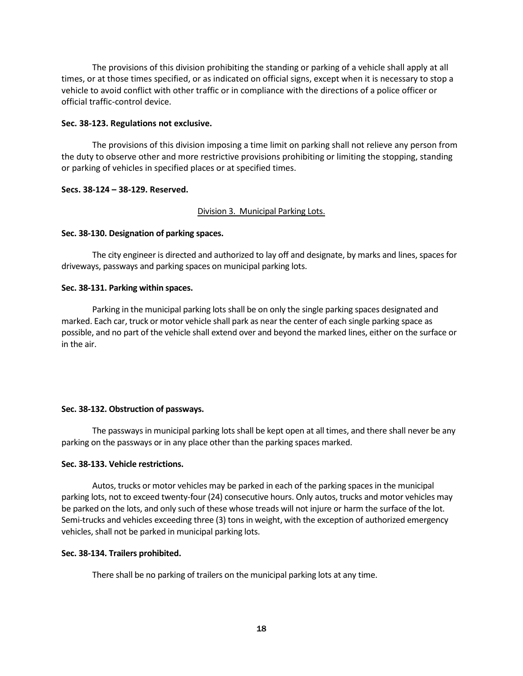The provisions of this division prohibiting the standing or parking of a vehicle shall apply at all times, or at those times specified, or as indicated on official signs, except when it is necessary to stop a vehicle to avoid conflict with other traffic or in compliance with the directions of a police officer or official traffic-control device.

#### **Sec. 38-123. Regulations not exclusive.**

The provisions of this division imposing a time limit on parking shall not relieve any person from the duty to observe other and more restrictive provisions prohibiting or limiting the stopping, standing or parking of vehicles in specified places or at specified times.

#### **Secs. 38-124 – 38-129. Reserved.**

#### Division 3. Municipal Parking Lots.

#### **Sec. 38-130. Designation of parking spaces.**

The city engineer is directed and authorized to lay off and designate, by marks and lines, spaces for driveways, passways and parking spaces on municipal parking lots.

#### **Sec. 38-131. Parking within spaces.**

Parking in the municipal parking lots shall be on only the single parking spaces designated and marked. Each car, truck or motor vehicle shall park as near the center of each single parking space as possible, and no part of the vehicle shall extend over and beyond the marked lines, either on the surface or in the air.

#### **Sec. 38-132. Obstruction of passways.**

The passways in municipal parking lots shall be kept open at all times, and there shall never be any parking on the passways or in any place other than the parking spaces marked.

#### **Sec. 38-133. Vehicle restrictions.**

Autos, trucks or motor vehicles may be parked in each of the parking spaces in the municipal parking lots, not to exceed twenty-four (24) consecutive hours. Only autos, trucks and motor vehicles may be parked on the lots, and only such of these whose treads will not injure or harm the surface of the lot. Semi-trucks and vehicles exceeding three (3) tons in weight, with the exception of authorized emergency vehicles, shall not be parked in municipal parking lots.

#### **Sec. 38-134. Trailers prohibited.**

There shall be no parking of trailers on the municipal parking lots at any time.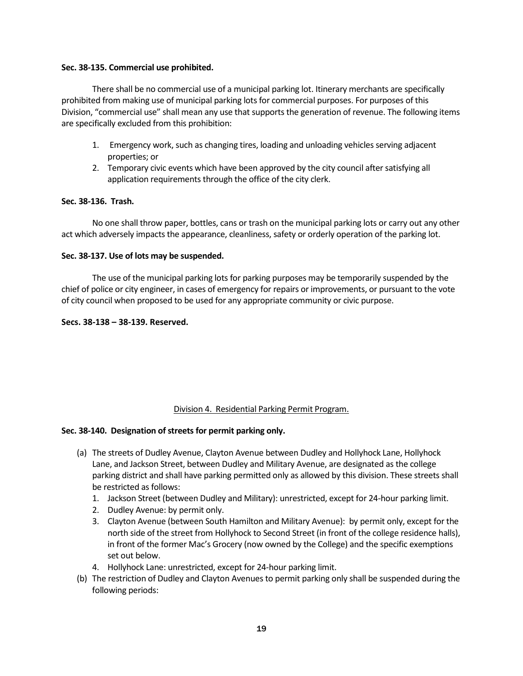# **Sec. 38-135. Commercial use prohibited.**

There shall be no commercial use of a municipal parking lot. Itinerary merchants are specifically prohibited from making use of municipal parking lots for commercial purposes. For purposes of this Division, "commercial use" shall mean any use that supports the generation of revenue. The following items are specifically excluded from this prohibition:

- 1. Emergency work, such as changing tires, loading and unloading vehicles serving adjacent properties; or
- 2. Temporary civic events which have been approved by the city council after satisfying all application requirements through the office of the city clerk.

# **Sec. 38-136. Trash.**

 No one shall throw paper, bottles, cans or trash on the municipal parking lots or carry out any other act which adversely impacts the appearance, cleanliness, safety or orderly operation of the parking lot.

# **Sec. 38-137. Use of lots may be suspended.**

The use of the municipal parking lots for parking purposes may be temporarily suspended by the chief of police or city engineer, in cases of emergency for repairs or improvements, or pursuant to the vote of city council when proposed to be used for any appropriate community or civic purpose.

# **Secs. 38-138 – 38-139. Reserved.**

# Division 4. Residential Parking Permit Program.

#### **Sec. 38-140. Designation of streets for permit parking only.**

- (a) The streets of Dudley Avenue, Clayton Avenue between Dudley and Hollyhock Lane, Hollyhock Lane, and Jackson Street, between Dudley and Military Avenue, are designated as the college parking district and shall have parking permitted only as allowed by this division. These streets shall be restricted as follows:
	- 1. Jackson Street (between Dudley and Military): unrestricted, except for 24-hour parking limit.
	- 2. Dudley Avenue: by permit only.
	- 3. Clayton Avenue (between South Hamilton and Military Avenue): by permit only, except for the north side of the street from Hollyhock to Second Street (in front of the college residence halls), in front of the former Mac's Grocery (now owned by the College) and the specific exemptions set out below.
	- 4. Hollyhock Lane: unrestricted, except for 24-hour parking limit.
- (b) The restriction of Dudley and Clayton Avenues to permit parking only shall be suspended during the following periods: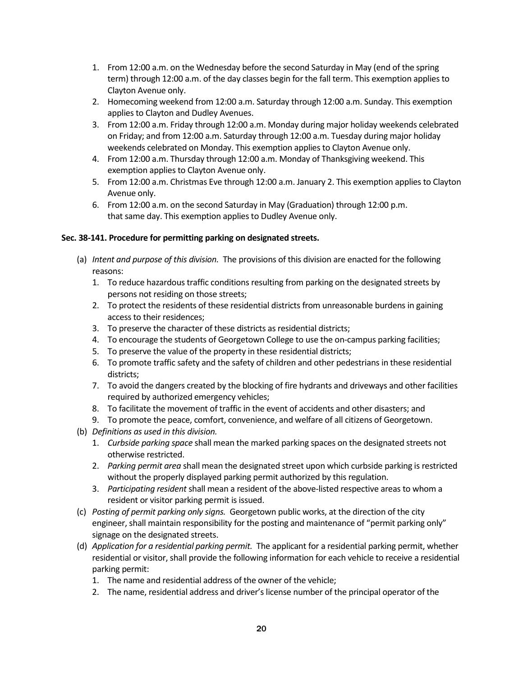- 1. From 12:00 a.m. on the Wednesday before the second Saturday in May (end of the spring term) through 12:00 a.m. of the day classes begin for the fall term. This exemption applies to Clayton Avenue only.
- 2. Homecoming weekend from 12:00 a.m. Saturday through 12:00 a.m. Sunday. This exemption applies to Clayton and Dudley Avenues.
- 3. From 12:00 a.m. Friday through 12:00 a.m. Monday during major holiday weekends celebrated on Friday; and from 12:00 a.m. Saturday through 12:00 a.m. Tuesday during major holiday weekends celebrated on Monday. This exemption applies to Clayton Avenue only.
- 4. From 12:00 a.m. Thursday through 12:00 a.m. Monday of Thanksgiving weekend. This exemption applies to Clayton Avenue only.
- 5. From 12:00 a.m. Christmas Eve through 12:00 a.m. January 2. This exemption applies to Clayton Avenue only.
- 6. From 12:00 a.m. on the second Saturday in May (Graduation) through 12:00 p.m. that same day. This exemption applies to Dudley Avenue only.

# **Sec. 38-141. Procedure for permitting parking on designated streets.**

- (a) *Intent and purpose of this division.* The provisions of this division are enacted for the following reasons:
	- 1. To reduce hazardous traffic conditions resulting from parking on the designated streets by persons not residing on those streets;
	- 2. To protect the residents of these residential districts from unreasonable burdens in gaining access to their residences;
	- 3. To preserve the character of these districts as residential districts;
	- 4. To encourage the students of Georgetown College to use the on-campus parking facilities;
	- 5. To preserve the value of the property in these residential districts;
	- 6. To promote traffic safety and the safety of children and other pedestrians in these residential districts;
	- 7. To avoid the dangers created by the blocking of fire hydrants and driveways and other facilities required by authorized emergency vehicles;
	- 8. To facilitate the movement of traffic in the event of accidents and other disasters; and
	- 9. To promote the peace, comfort, convenience, and welfare of all citizens of Georgetown.
- (b) *Definitions as used in this division.*
	- 1. *Curbside parking space* shall mean the marked parking spaces on the designated streets not otherwise restricted.
	- 2. *Parking permit area* shall mean the designated street upon which curbside parking is restricted without the properly displayed parking permit authorized by this regulation.
	- 3. *Participating resident* shall mean a resident of the above-listed respective areas to whom a resident or visitor parking permit is issued.
- (c) *Posting of permit parking only signs.* Georgetown public works, at the direction of the city engineer, shall maintain responsibility for the posting and maintenance of "permit parking only" signage on the designated streets.
- (d) *Application for a residential parking permit.* The applicant for a residential parking permit, whether residential or visitor, shall provide the following information for each vehicle to receive a residential parking permit:
	- 1. The name and residential address of the owner of the vehicle;
	- 2. The name, residential address and driver's license number of the principal operator of the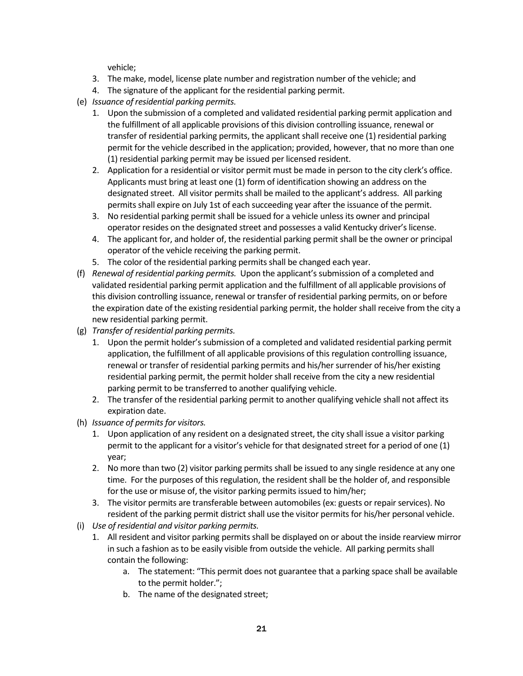vehicle;

- 3. The make, model, license plate number and registration number of the vehicle; and
- 4. The signature of the applicant for the residential parking permit.
- (e) *Issuance of residential parking permits.*
	- 1. Upon the submission of a completed and validated residential parking permit application and the fulfillment of all applicable provisions of this division controlling issuance, renewal or transfer of residential parking permits, the applicant shall receive one (1) residential parking permit for the vehicle described in the application; provided, however, that no more than one (1) residential parking permit may be issued per licensed resident.
	- 2. Application for a residential or visitor permit must be made in person to the city clerk's office. Applicants must bring at least one (1) form of identification showing an address on the designated street. All visitor permits shall be mailed to the applicant's address. All parking permits shall expire on July 1st of each succeeding year after the issuance of the permit.
	- 3. No residential parking permit shall be issued for a vehicle unless its owner and principal operator resides on the designated street and possesses a valid Kentucky driver's license.
	- 4. The applicant for, and holder of, the residential parking permit shall be the owner or principal operator of the vehicle receiving the parking permit.
	- 5. The color of the residential parking permits shall be changed each year.
- (f) *Renewal of residential parking permits.* Upon the applicant's submission of a completed and validated residential parking permit application and the fulfillment of all applicable provisions of this division controlling issuance, renewal or transfer of residential parking permits, on or before the expiration date of the existing residential parking permit, the holder shall receive from the city a new residential parking permit.
- (g) *Transfer of residential parking permits.* 
	- 1. Upon the permit holder's submission of a completed and validated residential parking permit application, the fulfillment of all applicable provisions of this regulation controlling issuance, renewal or transfer of residential parking permits and his/her surrender of his/her existing residential parking permit, the permit holder shall receive from the city a new residential parking permit to be transferred to another qualifying vehicle.
	- 2. The transfer of the residential parking permit to another qualifying vehicle shall not affect its expiration date.
- (h) *Issuance of permits for visitors.*
	- 1. Upon application of any resident on a designated street, the city shall issue a visitor parking permit to the applicant for a visitor's vehicle for that designated street for a period of one (1) year;
	- 2. No more than two (2) visitor parking permits shall be issued to any single residence at any one time. For the purposes of this regulation, the resident shall be the holder of, and responsible for the use or misuse of, the visitor parking permits issued to him/her;
	- 3. The visitor permits are transferable between automobiles (ex: guests or repair services). No resident of the parking permit district shall use the visitor permits for his/her personal vehicle.
- (i) *Use of residential and visitor parking permits.*
	- 1. All resident and visitor parking permits shall be displayed on or about the inside rearview mirror in such a fashion as to be easily visible from outside the vehicle. All parking permits shall contain the following:
		- a. The statement: "This permit does not guarantee that a parking space shall be available to the permit holder.";
		- b. The name of the designated street;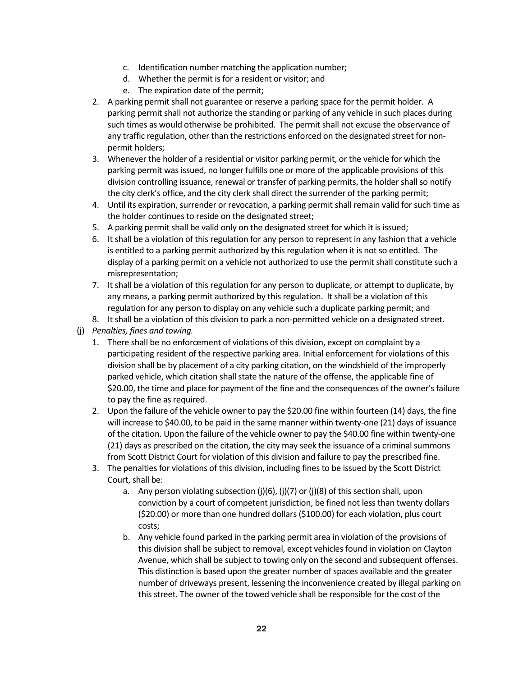- c. Identification number matching the application number;
- d. Whether the permit is for a resident or visitor; and
- e. The expiration date of the permit;
- 2. A parking permit shall not guarantee or reserve a parking space for the permit holder. A parking permit shall not authorize the standing or parking of any vehicle in such places during such times as would otherwise be prohibited. The permit shall not excuse the observance of any traffic regulation, other than the restrictions enforced on the designated street for nonpermit holders;
- 3. Whenever the holder of a residential or visitor parking permit, or the vehicle for which the parking permit was issued, no longer fulfills one or more of the applicable provisions of this division controlling issuance, renewal or transfer of parking permits, the holder shall so notify the city clerk's office, and the city clerk shall direct the surrender of the parking permit;
- 4. Until its expiration, surrender or revocation, a parking permit shall remain valid for such time as the holder continues to reside on the designated street;
- 5. A parking permit shall be valid only on the designated street for which it is issued;
- 6. It shall be a violation of this regulation for any person to represent in any fashion that a vehicle is entitled to a parking permit authorized by this regulation when it is not so entitled. The display of a parking permit on a vehicle not authorized to use the permit shall constitute such a misrepresentation;
- 7. It shall be a violation of this regulation for any person to duplicate, or attempt to duplicate, by any means, a parking permit authorized by this regulation. It shall be a violation of this regulation for any person to display on any vehicle such a duplicate parking permit; and
- 8. It shall be a violation of this division to park a non-permitted vehicle on a designated street.
- (j) *Penalties, fines and towing.*
	- 1. There shall be no enforcement of violations of this division, except on complaint by a participating resident of the respective parking area. Initial enforcement for violations of this division shall be by placement of a city parking citation, on the windshield of the improperly parked vehicle, which citation shall state the nature of the offense, the applicable fine of \$20.00, the time and place for payment of the fine and the consequences of the owner's failure to pay the fine as required.
	- 2. Upon the failure of the vehicle owner to pay the \$20.00 fine within fourteen (14) days, the fine will increase to \$40.00, to be paid in the same manner within twenty-one (21) days of issuance of the citation. Upon the failure of the vehicle owner to pay the \$40.00 fine within twenty-one (21) days as prescribed on the citation, the city may seek the issuance of a criminal summons from Scott District Court for violation of this division and failure to pay the prescribed fine.
	- 3. The penalties for violations of this division, including fines to be issued by the Scott District Court, shall be:
		- a. Any person violating subsection  $(j)(6)$ ,  $(j)(7)$  or  $(j)(8)$  of this section shall, upon conviction by a court of competent jurisdiction, be fined not less than twenty dollars (\$20.00) or more than one hundred dollars (\$100.00) for each violation, plus court costs;
		- b. Any vehicle found parked in the parking permit area in violation of the provisions of this division shall be subject to removal, except vehicles found in violation on Clayton Avenue, which shall be subject to towing only on the second and subsequent offenses. This distinction is based upon the greater number of spaces available and the greater number of driveways present, lessening the inconvenience created by illegal parking on this street. The owner of the towed vehicle shall be responsible for the cost of the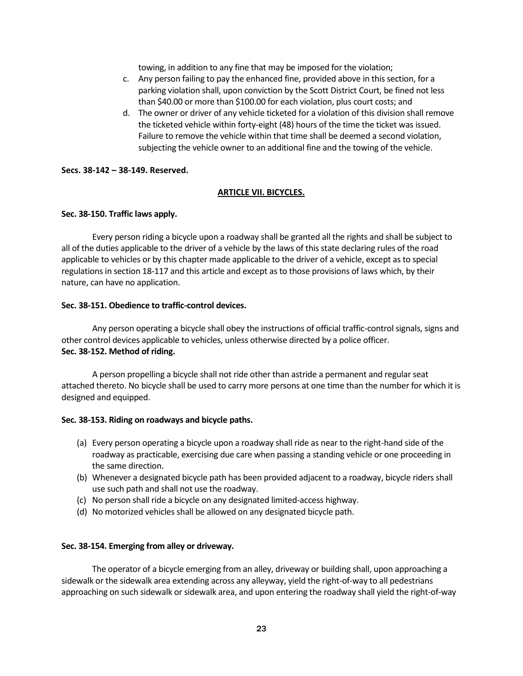towing, in addition to any fine that may be imposed for the violation;

- c. Any person failing to pay the enhanced fine, provided above in this section, for a parking violation shall, upon conviction by the Scott District Court, be fined not less than \$40.00 or more than \$100.00 for each violation, plus court costs; and
- d. The owner or driver of any vehicle ticketed for a violation of this division shall remove the ticketed vehicle within forty-eight (48) hours of the time the ticket was issued. Failure to remove the vehicle within that time shall be deemed a second violation, subjecting the vehicle owner to an additional fine and the towing of the vehicle.

# **Secs. 38-142 – 38-149. Reserved.**

# **ARTICLE VII. BICYCLES.**

# **Sec. 38-150. Traffic laws apply.**

Every person riding a bicycle upon a roadway shall be granted all the rights and shall be subject to all of the duties applicable to the driver of a vehicle by the laws of this state declaring rules of the road applicable to vehicles or by this chapter made applicable to the driver of a vehicle, except as to special regulations in section 18-117 and this article and except as to those provisions of laws which, by their nature, can have no application.

# **Sec. 38-151. Obedience to traffic-control devices.**

Any person operating a bicycle shall obey the instructions of official traffic-control signals, signs and other control devices applicable to vehicles, unless otherwise directed by a police officer. **Sec. 38-152. Method of riding.**

A person propelling a bicycle shall not ride other than astride a permanent and regular seat attached thereto. No bicycle shall be used to carry more persons at one time than the number for which it is designed and equipped.

#### **Sec. 38-153. Riding on roadways and bicycle paths.**

- (a) Every person operating a bicycle upon a roadway shall ride as near to the right-hand side of the roadway as practicable, exercising due care when passing a standing vehicle or one proceeding in the same direction.
- (b) Whenever a designated bicycle path has been provided adjacent to a roadway, bicycle riders shall use such path and shall not use the roadway.
- (c) No person shall ride a bicycle on any designated limited-access highway.
- (d) No motorized vehicles shall be allowed on any designated bicycle path.

#### **Sec. 38-154. Emerging from alley or driveway.**

The operator of a bicycle emerging from an alley, driveway or building shall, upon approaching a sidewalk or the sidewalk area extending across any alleyway, yield the right-of-way to all pedestrians approaching on such sidewalk or sidewalk area, and upon entering the roadway shall yield the right-of-way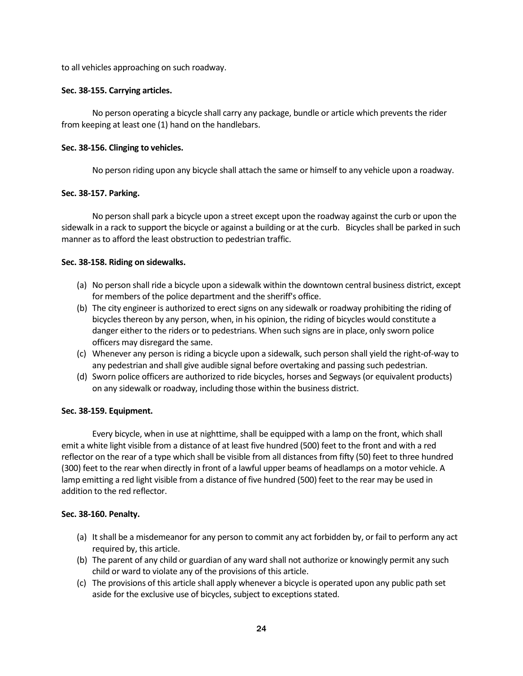to all vehicles approaching on such roadway.

# **Sec. 38-155. Carrying articles.**

No person operating a bicycle shall carry any package, bundle or article which prevents the rider from keeping at least one (1) hand on the handlebars.

# **Sec. 38-156. Clinging to vehicles.**

No person riding upon any bicycle shall attach the same or himself to any vehicle upon a roadway.

# **Sec. 38-157. Parking.**

No person shall park a bicycle upon a street except upon the roadway against the curb or upon the sidewalk in a rack to support the bicycle or against a building or at the curb. Bicycles shall be parked in such manner as to afford the least obstruction to pedestrian traffic.

# **Sec. 38-158. Riding on sidewalks.**

- (a) No person shall ride a bicycle upon a sidewalk within the downtown central business district, except for members of the police department and the sheriff's office.
- (b) The city engineer is authorized to erect signs on any sidewalk or roadway prohibiting the riding of bicycles thereon by any person, when, in his opinion, the riding of bicycles would constitute a danger either to the riders or to pedestrians. When such signs are in place, only sworn police officers may disregard the same.
- (c) Whenever any person is riding a bicycle upon a sidewalk, such person shall yield the right-of-way to any pedestrian and shall give audible signal before overtaking and passing such pedestrian.
- (d) Sworn police officers are authorized to ride bicycles, horses and Segways (or equivalent products) on any sidewalk or roadway, including those within the business district.

# **Sec. 38-159. Equipment.**

Every bicycle, when in use at nighttime, shall be equipped with a lamp on the front, which shall emit a white light visible from a distance of at least five hundred (500) feet to the front and with a red reflector on the rear of a type which shall be visible from all distances from fifty (50) feet to three hundred (300) feet to the rear when directly in front of a lawful upper beams of headlamps on a motor vehicle. A lamp emitting a red light visible from a distance of five hundred (500) feet to the rear may be used in addition to the red reflector.

# **Sec. 38-160. Penalty.**

- (a) It shall be a misdemeanor for any person to commit any act forbidden by, or fail to perform any act required by, this article.
- (b) The parent of any child or guardian of any ward shall not authorize or knowingly permit any such child or ward to violate any of the provisions of this article.
- (c) The provisions of this article shall apply whenever a bicycle is operated upon any public path set aside for the exclusive use of bicycles, subject to exceptions stated.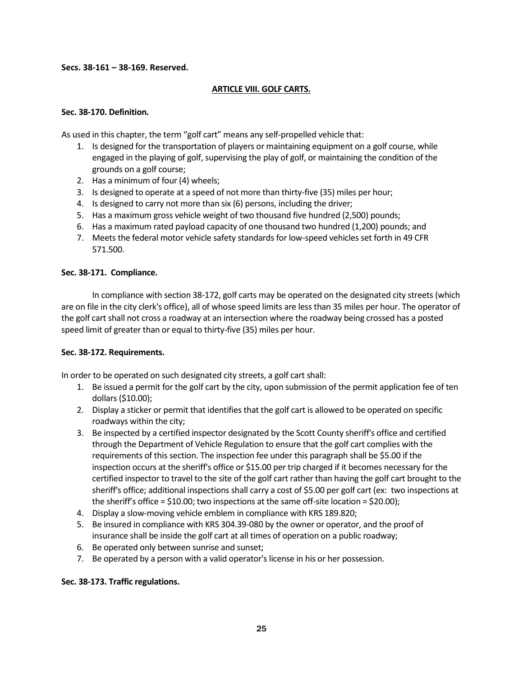# **Secs. 38-161 – 38-169. Reserved.**

# **ARTICLE VIII. GOLF CARTS.**

# **Sec. 38-170. Definition.**

As used in this chapter, the term "golf cart" means any self-propelled vehicle that:

- 1. Is designed for the transportation of players or maintaining equipment on a golf course, while engaged in the playing of golf, supervising the play of golf, or maintaining the condition of the grounds on a golf course;
- 2. Has a minimum of four (4) wheels;
- 3. Is designed to operate at a speed of not more than thirty-five (35) miles per hour;
- 4. Is designed to carry not more than six (6) persons, including the driver;
- 5. Has a maximum gross vehicle weight of two thousand five hundred (2,500) pounds;
- 6. Has a maximum rated payload capacity of one thousand two hundred (1,200) pounds; and
- 7. Meets the federal motor vehicle safety standards for low-speed vehicles set forth in 49 CFR 571.500.

# **Sec. 38-171. Compliance.**

In compliance with section 38-172, golf carts may be operated on the designated city streets (which are on file in the city clerk's office), all of whose speed limits are less than 35 miles per hour. The operator of the golf cart shall not cross a roadway at an intersection where the roadway being crossed has a posted speed limit of greater than or equal to thirty-five (35) miles per hour.

#### **Sec. 38-172. Requirements.**

In order to be operated on such designated city streets, a golf cart shall:

- 1. Be issued a permit for the golf cart by the city, upon submission of the permit application fee of ten dollars (\$10.00);
- 2. Display a sticker or permit that identifies that the golf cart is allowed to be operated on specific roadways within the city;
- 3. Be inspected by a certified inspector designated by the Scott County sheriff's office and certified through the Department of Vehicle Regulation to ensure that the golf cart complies with the requirements of this section. The inspection fee under this paragraph shall be \$5.00 if the inspection occurs at the sheriff's office or \$15.00 per trip charged if it becomes necessary for the certified inspector to travel to the site of the golf cart rather than having the golf cart brought to the sheriff's office; additional inspections shall carry a cost of \$5.00 per golf cart (ex: two inspections at the sheriff's office =  $$10.00$ ; two inspections at the same off-site location =  $$20.00$ );
- 4. Display a slow-moving vehicle emblem in compliance with KRS 189.820;
- 5. Be insured in compliance with KRS 304.39-080 by the owner or operator, and the proof of insurance shall be inside the golf cart at all times of operation on a public roadway;
- 6. Be operated only between sunrise and sunset;
- 7. Be operated by a person with a valid operator's license in his or her possession.

# **Sec. 38-173. Traffic regulations.**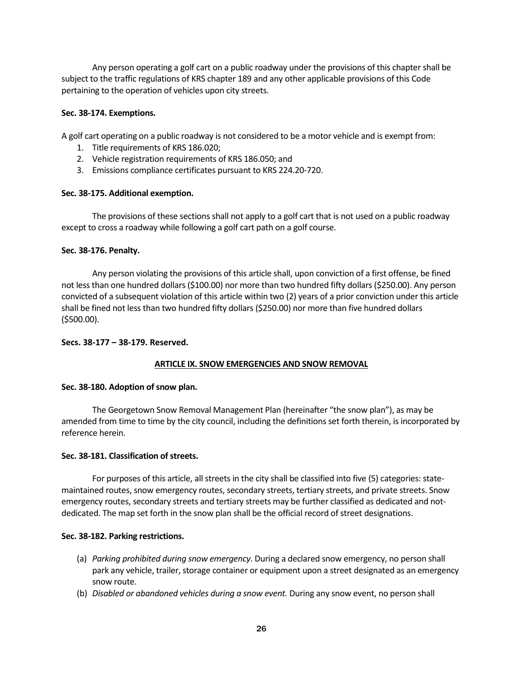Any person operating a golf cart on a public roadway under the provisions of this chapter shall be subject to the traffic regulations of KRS chapter 189 and any other applicable provisions of this Code pertaining to the operation of vehicles upon city streets.

# **Sec. 38-174. Exemptions.**

A golf cart operating on a public roadway is not considered to be a motor vehicle and is exempt from:

- 1. Title requirements of KRS 186.020;
- 2. Vehicle registration requirements of KRS 186.050; and
- 3. Emissions compliance certificates pursuant to KRS 224.20-720.

#### **Sec. 38-175. Additional exemption.**

The provisions of these sections shall not apply to a golf cart that is not used on a public roadway except to cross a roadway while following a golf cart path on a golf course.

# **Sec. 38-176. Penalty.**

Any person violating the provisions of this article shall, upon conviction of a first offense, be fined not less than one hundred dollars (\$100.00) nor more than two hundred fifty dollars (\$250.00). Any person convicted of a subsequent violation of this article within two (2) years of a prior conviction under this article shall be fined not less than two hundred fifty dollars (\$250.00) nor more than five hundred dollars (\$500.00).

#### **Secs. 38-177 – 38-179. Reserved.**

# **ARTICLE IX. SNOW EMERGENCIES AND SNOW REMOVAL**

#### **Sec. 38-180. Adoption of snow plan.**

The Georgetown Snow Removal Management Plan (hereinafter "the snow plan"), as may be amended from time to time by the city council, including the definitions set forth therein, is incorporated by reference herein.

#### **Sec. 38-181. Classification of streets.**

For purposes of this article, all streets in the city shall be classified into five (5) categories: statemaintained routes, snow emergency routes, secondary streets, tertiary streets, and private streets. Snow emergency routes, secondary streets and tertiary streets may be further classified as dedicated and notdedicated. The map set forth in the snow plan shall be the official record of street designations.

#### **Sec. 38-182. Parking restrictions.**

- (a) *Parking prohibited during snow emergency*. During a declared snow emergency, no person shall park any vehicle, trailer, storage container or equipment upon a street designated as an emergency snow route.
- (b) *Disabled or abandoned vehicles during a snow event.* During any snow event, no person shall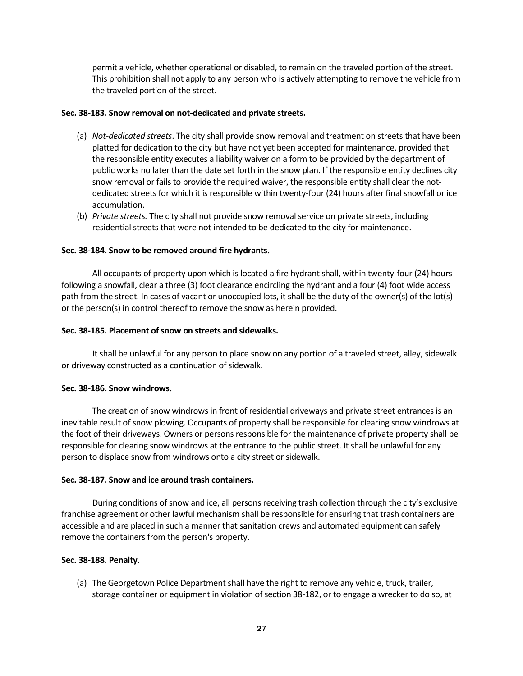permit a vehicle, whether operational or disabled, to remain on the traveled portion of the street. This prohibition shall not apply to any person who is actively attempting to remove the vehicle from the traveled portion of the street.

#### **Sec. 38-183. Snow removal on not-dedicated and private streets.**

- (a) *Not-dedicated streets*. The city shall provide snow removal and treatment on streets that have been platted for dedication to the city but have not yet been accepted for maintenance, provided that the responsible entity executes a liability waiver on a form to be provided by the department of public works no later than the date set forth in the snow plan. If the responsible entity declines city snow removal or fails to provide the required waiver, the responsible entity shall clear the notdedicated streets for which it is responsible within twenty-four (24) hours after final snowfall or ice accumulation.
- (b) *Private streets.* The city shall not provide snow removal service on private streets, including residential streets that were not intended to be dedicated to the city for maintenance.

# **Sec. 38-184. Snow to be removed around fire hydrants.**

All occupants of property upon which is located a fire hydrant shall, within twenty-four (24) hours following a snowfall, clear a three (3) foot clearance encircling the hydrant and a four (4) foot wide access path from the street. In cases of vacant or unoccupied lots, it shall be the duty of the owner(s) of the lot(s) or the person(s) in control thereof to remove the snow as herein provided.

# **Sec. 38-185. Placement of snow on streets and sidewalks.**

It shall be unlawful for any person to place snow on any portion of a traveled street, alley, sidewalk or driveway constructed as a continuation of sidewalk.

#### **Sec. 38-186. Snow windrows.**

The creation of snow windrows in front of residential driveways and private street entrances is an inevitable result of snow plowing. Occupants of property shall be responsible for clearing snow windrows at the foot of their driveways. Owners or persons responsible for the maintenance of private property shall be responsible for clearing snow windrows at the entrance to the public street. It shall be unlawful for any person to displace snow from windrows onto a city street or sidewalk.

#### **Sec. 38-187. Snow and ice around trash containers.**

During conditions of snow and ice, all persons receiving trash collection through the city's exclusive franchise agreement or other lawful mechanism shall be responsible for ensuring that trash containers are accessible and are placed in such a manner that sanitation crews and automated equipment can safely remove the containers from the person's property.

# **Sec. 38-188. Penalty.**

(a) The Georgetown Police Department shall have the right to remove any vehicle, truck, trailer, storage container or equipment in violation of section 38-182, or to engage a wrecker to do so, at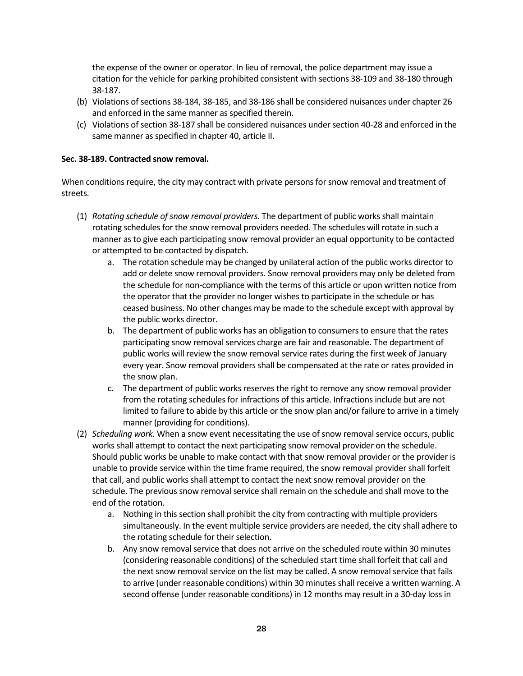the expense of the owner or operator. In lieu of removal, the police department may issue a citation for the vehicle for parking prohibited consistent with sections 38-109 and 38-180 through 38-187.

- (b) Violations of sections 38-184, 38-185, and 38-186 shall be considered nuisances under chapter 26 and enforced in the same manner as specified therein.
- (c) Violations of section 38-187 shall be considered nuisances under section 40-28 and enforced in the same manner as specified in chapter 40, article II.

# **Sec. 38-189. Contracted snow removal.**

When conditions require, the city may contract with private persons for snow removal and treatment of streets.

- (1) *Rotating schedule of snow removal providers.* The department of public works shall maintain rotating schedules for the snow removal providers needed. The schedules will rotate in such a manner as to give each participating snow removal provider an equal opportunity to be contacted or attempted to be contacted by dispatch.
	- a. The rotation schedule may be changed by unilateral action of the public works director to add or delete snow removal providers. Snow removal providers may only be deleted from the schedule for non-compliance with the terms of this article or upon written notice from the operator that the provider no longer wishes to participate in the schedule or has ceased business. No other changes may be made to the schedule except with approval by the public works director.
	- b. The department of public works has an obligation to consumers to ensure that the rates participating snow removal services charge are fair and reasonable. The department of public works will review the snow removal service rates during the first week of January every year. Snow removal providers shall be compensated at the rate or rates provided in the snow plan.
	- c. The department of public works reserves the right to remove any snow removal provider from the rotating schedules for infractions of this article. Infractions include but are not limited to failure to abide by this article or the snow plan and/or failure to arrive in a timely manner (providing for conditions).
- (2) *Scheduling work.* When a snow event necessitating the use of snow removal service occurs, public works shall attempt to contact the next participating snow removal provider on the schedule. Should public works be unable to make contact with that snow removal provider or the provider is unable to provide service within the time frame required, the snow removal provider shall forfeit that call, and public works shall attempt to contact the next snow removal provider on the schedule. The previous snow removal service shall remain on the schedule and shall move to the end of the rotation.
	- a. Nothing in this section shall prohibit the city from contracting with multiple providers simultaneously. In the event multiple service providers are needed, the city shall adhere to the rotating schedule for their selection.
	- b. Any snow removal service that does not arrive on the scheduled route within 30 minutes (considering reasonable conditions) of the scheduled start time shall forfeit that call and the next snow removal service on the list may be called. A snow removal service that fails to arrive (under reasonable conditions) within 30 minutes shall receive a written warning. A second offense (under reasonable conditions) in 12 months may result in a 30-day loss in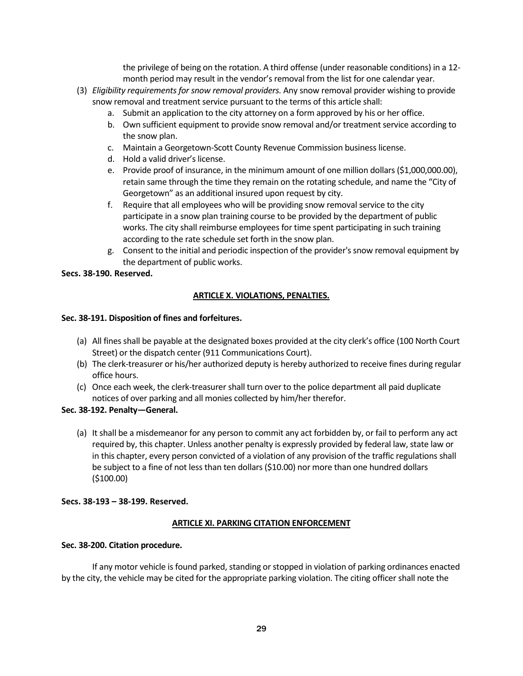the privilege of being on the rotation. A third offense (under reasonable conditions) in a 12 month period may result in the vendor's removal from the list for one calendar year.

- (3) *Eligibility requirements for snow removal providers.* Any snow removal provider wishing to provide snow removal and treatment service pursuant to the terms of this article shall:
	- a. Submit an application to the city attorney on a form approved by his or her office.
	- b. Own sufficient equipment to provide snow removal and/or treatment service according to the snow plan.
	- c. Maintain a Georgetown-Scott County Revenue Commission business license.
	- d. Hold a valid driver's license.
	- e. Provide proof of insurance, in the minimum amount of one million dollars (\$1,000,000.00), retain same through the time they remain on the rotating schedule, and name the "City of Georgetown" as an additional insured upon request by city.
	- f. Require that all employees who will be providing snow removal service to the city participate in a snow plan training course to be provided by the department of public works. The city shall reimburse employees for time spent participating in such training according to the rate schedule set forth in the snow plan.
	- g. Consent to the initial and periodic inspection of the provider's snow removal equipment by the department of public works.

# **Secs. 38-190. Reserved.**

# **ARTICLE X. VIOLATIONS, PENALTIES.**

# **Sec. 38-191. Disposition of fines and forfeitures.**

- (a) All fines shall be payable at the designated boxes provided at the city clerk's office (100 North Court Street) or the dispatch center (911 Communications Court).
- (b) The clerk-treasurer or his/her authorized deputy is hereby authorized to receive fines during regular office hours.
- (c) Once each week, the clerk-treasurer shall turn over to the police department all paid duplicate notices of over parking and all monies collected by him/her therefor.

# **Sec. 38-192. Penalty—General.**

(a) It shall be a misdemeanor for any person to commit any act forbidden by, or fail to perform any act required by, this chapter. Unless another penalty is expressly provided by federal law, state law or in this chapter, every person convicted of a violation of any provision of the traffic regulations shall be subject to a fine of not less than ten dollars (\$10.00) nor more than one hundred dollars (\$100.00)

# **Secs. 38-193 – 38-199. Reserved.**

# **ARTICLE XI. PARKING CITATION ENFORCEMENT**

# **Sec. 38-200. Citation procedure.**

If any motor vehicle is found parked, standing or stopped in violation of parking ordinances enacted by the city, the vehicle may be cited for the appropriate parking violation. The citing officer shall note the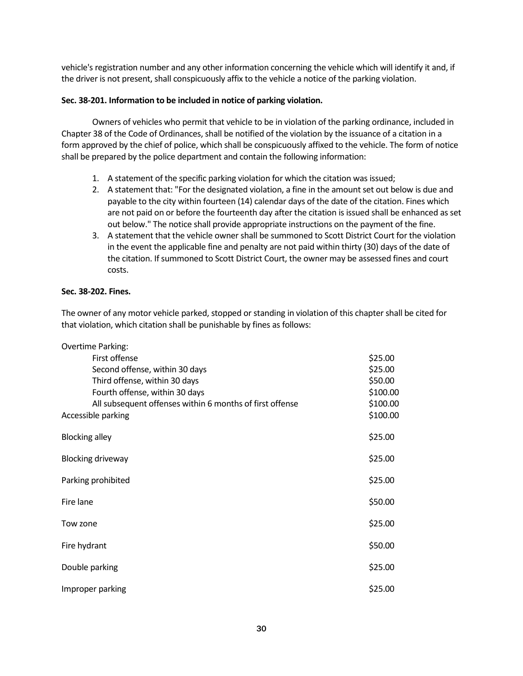vehicle's registration number and any other information concerning the vehicle which will identify it and, if the driver is not present, shall conspicuously affix to the vehicle a notice of the parking violation.

# **Sec. 38-201. Information to be included in notice of parking violation.**

Owners of vehicles who permit that vehicle to be in violation of the parking ordinance, included in Chapter 38 of the Code of Ordinances, shall be notified of the violation by the issuance of a citation in a form approved by the chief of police, which shall be conspicuously affixed to the vehicle. The form of notice shall be prepared by the police department and contain the following information:

- 1. A statement of the specific parking violation for which the citation was issued;
- 2. A statement that: "For the designated violation, a fine in the amount set out below is due and payable to the city within fourteen (14) calendar days of the date of the citation. Fines which are not paid on or before the fourteenth day after the citation is issued shall be enhanced as set out below." The notice shall provide appropriate instructions on the payment of the fine.
- 3. A statement that the vehicle owner shall be summoned to Scott District Court for the violation in the event the applicable fine and penalty are not paid within thirty (30) days of the date of the citation. If summoned to Scott District Court, the owner may be assessed fines and court costs.

# **Sec. 38-202. Fines.**

The owner of any motor vehicle parked, stopped or standing in violation of this chapter shall be cited for that violation, which citation shall be punishable by fines as follows:

| <b>Overtime Parking:</b>                                 |          |
|----------------------------------------------------------|----------|
| First offense                                            | \$25.00  |
| Second offense, within 30 days                           | \$25.00  |
| Third offense, within 30 days                            | \$50.00  |
| Fourth offense, within 30 days                           | \$100.00 |
| All subsequent offenses within 6 months of first offense | \$100.00 |
| Accessible parking                                       | \$100.00 |
| <b>Blocking alley</b>                                    | \$25.00  |
| <b>Blocking driveway</b>                                 | \$25.00  |
| Parking prohibited                                       |          |
| Fire lane                                                |          |
| Tow zone                                                 |          |
| Fire hydrant                                             |          |
| Double parking                                           |          |
| Improper parking                                         |          |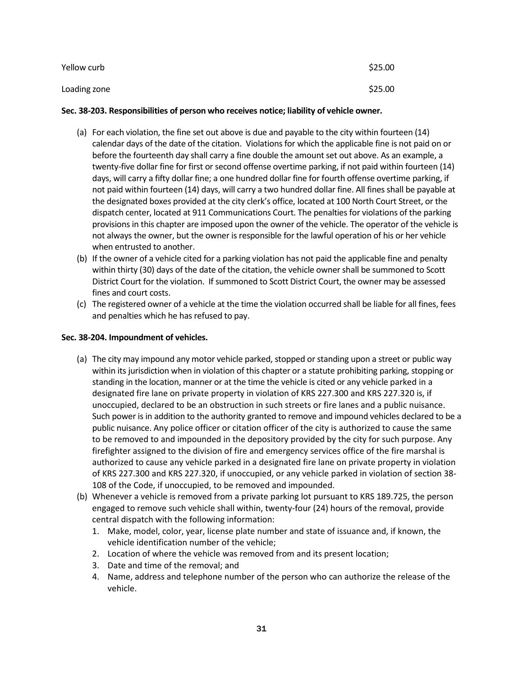| Yellow curb  | \$25.00 |
|--------------|---------|
| Loading zone | \$25.00 |

# **Sec. 38-203. Responsibilities of person who receives notice; liability of vehicle owner.**

- (a) For each violation, the fine set out above is due and payable to the city within fourteen (14) calendar days of the date of the citation. Violations for which the applicable fine is not paid on or before the fourteenth day shall carry a fine double the amount set out above. As an example, a twenty-five dollar fine for first or second offense overtime parking, if not paid within fourteen (14) days, will carry a fifty dollar fine; a one hundred dollar fine for fourth offense overtime parking, if not paid within fourteen (14) days, will carry a two hundred dollar fine. All fines shall be payable at the designated boxes provided at the city clerk's office, located at 100 North Court Street, or the dispatch center, located at 911 Communications Court. The penalties for violations of the parking provisions in this chapter are imposed upon the owner of the vehicle. The operator of the vehicle is not always the owner, but the owner is responsible for the lawful operation of his or her vehicle when entrusted to another.
- (b) If the owner of a vehicle cited for a parking violation has not paid the applicable fine and penalty within thirty (30) days of the date of the citation, the vehicle owner shall be summoned to Scott District Court for the violation. If summoned to Scott District Court, the owner may be assessed fines and court costs.
- (c) The registered owner of a vehicle at the time the violation occurred shall be liable for all fines, fees and penalties which he has refused to pay.

# **Sec. 38-204. Impoundment of vehicles.**

- (a) The city may impound any motor vehicle parked, stopped or standing upon a street or public way within its jurisdiction when in violation of this chapter or a statute prohibiting parking, stopping or standing in the location, manner or at the time the vehicle is cited or any vehicle parked in a designated fire lane on private property in violation of KRS 227.300 and KRS 227.320 is, if unoccupied, declared to be an obstruction in such streets or fire lanes and a public nuisance. Such power is in addition to the authority granted to remove and impound vehicles declared to be a public nuisance. Any police officer or citation officer of the city is authorized to cause the same to be removed to and impounded in the depository provided by the city for such purpose. Any firefighter assigned to the division of fire and emergency services office of the fire marshal is authorized to cause any vehicle parked in a designated fire lane on private property in violation of KRS 227.300 and KRS 227.320, if unoccupied, or any vehicle parked in violation of section 38- 108 of the Code, if unoccupied, to be removed and impounded.
- (b) Whenever a vehicle is removed from a private parking lot pursuant to KRS 189.725, the person engaged to remove such vehicle shall within, twenty-four (24) hours of the removal, provide central dispatch with the following information:
	- 1. Make, model, color, year, license plate number and state of issuance and, if known, the vehicle identification number of the vehicle;
	- 2. Location of where the vehicle was removed from and its present location;
	- 3. Date and time of the removal; and
	- 4. Name, address and telephone number of the person who can authorize the release of the vehicle.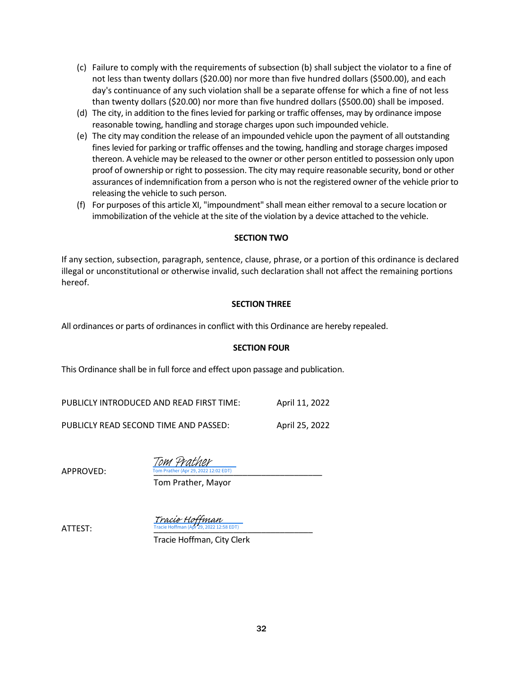- (c) Failure to comply with the requirements of subsection (b) shall subject the violator to a fine of not less than twenty dollars (\$20.00) nor more than five hundred dollars (\$500.00), and each day's continuance of any such violation shall be a separate offense for which a fine of not less than twenty dollars (\$20.00) nor more than five hundred dollars (\$500.00) shall be imposed.
- (d) The city, in addition to the fines levied for parking or traffic offenses, may by ordinance impose reasonable towing, handling and storage charges upon such impounded vehicle.
- (e) The city may condition the release of an impounded vehicle upon the payment of all outstanding fines levied for parking or traffic offenses and the towing, handling and storage charges imposed thereon. A vehicle may be released to the owner or other person entitled to possession only upon proof of ownership or right to possession. The city may require reasonable security, bond or other assurances of indemnification from a person who is not the registered owner of the vehicle prior to releasing the vehicle to such person.
- (f) For purposes of this article XI, "impoundment" shall mean either removal to a secure location or immobilization of the vehicle at the site of the violation by a device attached to the vehicle.

# **SECTION TWO**

If any section, subsection, paragraph, sentence, clause, phrase, or a portion of this ordinance is declared illegal or unconstitutional or otherwise invalid, such declaration shall not affect the remaining portions hereof.

# **SECTION THREE**

All ordinances or parts of ordinances in conflict with this Ordinance are hereby repealed.

#### **SECTION FOUR**

This Ordinance shall be in full force and effect upon passage and publication.

| PUBLICLY INTRODUCED AND READ FIRST TIME: | April 11, 2022 |
|------------------------------------------|----------------|
|                                          |                |

PUBLICLY READ SECOND TIME AND PASSED: April 25, 2022

APPROVED:

022 12:02 EDT) Tom Prather

Tom Prather, Mayor

 $\text{ATTEST:}$   $\text{Trace~Hoffman (Apr 29, 2022~12:58~EDT)}$ , 2022 12:58 EDT) Tracie Hoffman

Tracie Hoffman, City Clerk